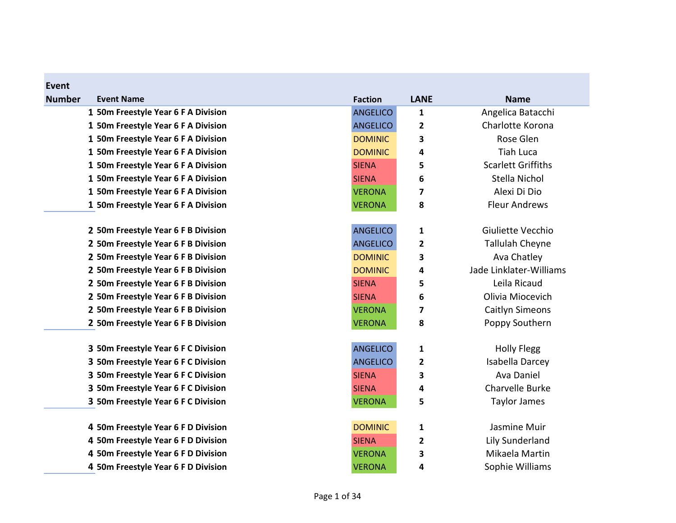| <b>Event</b>                        |                 |             |                           |
|-------------------------------------|-----------------|-------------|---------------------------|
| <b>Number</b><br><b>Event Name</b>  | <b>Faction</b>  | <b>LANE</b> | <b>Name</b>               |
| 1 50m Freestyle Year 6 F A Division | <b>ANGELICO</b> | 1           | Angelica Batacchi         |
| 1 50m Freestyle Year 6 F A Division | <b>ANGELICO</b> | 2           | Charlotte Korona          |
| 1 50m Freestyle Year 6 F A Division | <b>DOMINIC</b>  | 3           | Rose Glen                 |
| 1 50m Freestyle Year 6 F A Division | <b>DOMINIC</b>  | 4           | <b>Tiah Luca</b>          |
| 1 50m Freestyle Year 6 F A Division | <b>SIENA</b>    | 5           | <b>Scarlett Griffiths</b> |
| 1 50m Freestyle Year 6 F A Division | <b>SIENA</b>    | 6           | Stella Nichol             |
| 1 50m Freestyle Year 6 F A Division | <b>VERONA</b>   | 7           | Alexi Di Dio              |
| 1 50m Freestyle Year 6 F A Division | <b>VERONA</b>   | 8           | <b>Fleur Andrews</b>      |
| 2 50m Freestyle Year 6 F B Division | <b>ANGELICO</b> | 1           | Giuliette Vecchio         |
| 2 50m Freestyle Year 6 F B Division | <b>ANGELICO</b> | 2           | <b>Tallulah Cheyne</b>    |
| 2 50m Freestyle Year 6 F B Division | <b>DOMINIC</b>  | 3           | Ava Chatley               |
| 2 50m Freestyle Year 6 F B Division | <b>DOMINIC</b>  | 4           | Jade Linklater-Williams   |
| 2 50m Freestyle Year 6 F B Division | <b>SIENA</b>    | 5           | Leila Ricaud              |
| 2 50m Freestyle Year 6 F B Division | <b>SIENA</b>    | 6           | Olivia Miocevich          |
| 2 50m Freestyle Year 6 F B Division | <b>VERONA</b>   | 7           | <b>Caitlyn Simeons</b>    |
| 2 50m Freestyle Year 6 F B Division | <b>VERONA</b>   | 8           | Poppy Southern            |
| 3 50m Freestyle Year 6 F C Division | <b>ANGELICO</b> | 1           | <b>Holly Flegg</b>        |
| 3 50m Freestyle Year 6 F C Division | <b>ANGELICO</b> | 2           | Isabella Darcey           |
| 3 50m Freestyle Year 6 F C Division | <b>SIENA</b>    | 3           | Ava Daniel                |
| 3 50m Freestyle Year 6 F C Division | <b>SIENA</b>    | 4           | Charvelle Burke           |
| 3 50m Freestyle Year 6 F C Division | <b>VERONA</b>   | 5           | Taylor James              |
| 4 50m Freestyle Year 6 F D Division | <b>DOMINIC</b>  | $\mathbf 1$ | Jasmine Muir              |
| 4 50m Freestyle Year 6 F D Division | <b>SIENA</b>    | 2           | Lily Sunderland           |
| 4 50m Freestyle Year 6 F D Division | <b>VERONA</b>   | 3           | Mikaela Martin            |
| 4 50m Freestyle Year 6 F D Division | <b>VERONA</b>   | 4           | Sophie Williams           |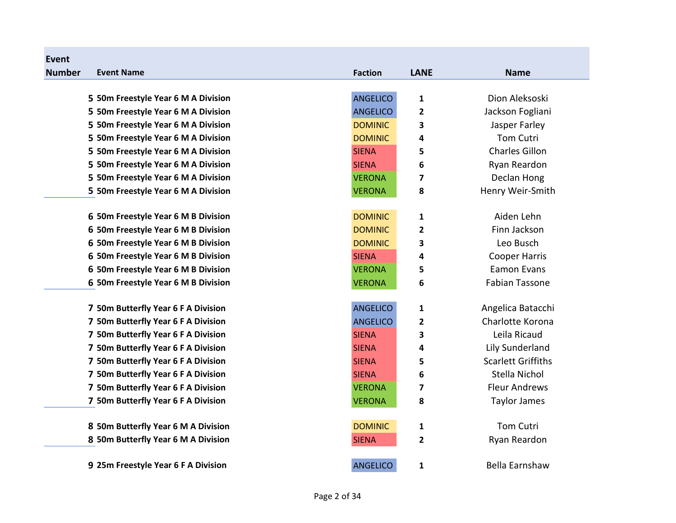| Event         |                                     |                 |              |                           |
|---------------|-------------------------------------|-----------------|--------------|---------------------------|
| <b>Number</b> | <b>Event Name</b>                   | <b>Faction</b>  | <b>LANE</b>  | <b>Name</b>               |
|               |                                     |                 |              |                           |
|               | 5 50m Freestyle Year 6 M A Division | <b>ANGELICO</b> | $\mathbf{1}$ | Dion Aleksoski            |
|               | 5 50m Freestyle Year 6 M A Division | <b>ANGELICO</b> | $\mathbf{2}$ | Jackson Fogliani          |
|               | 5 50m Freestyle Year 6 M A Division | <b>DOMINIC</b>  | 3            | Jasper Farley             |
|               | 5 50m Freestyle Year 6 M A Division | <b>DOMINIC</b>  | 4            | <b>Tom Cutri</b>          |
|               | 5 50m Freestyle Year 6 M A Division | <b>SIENA</b>    | 5            | <b>Charles Gillon</b>     |
|               | 5 50m Freestyle Year 6 M A Division | <b>SIENA</b>    | 6            | Ryan Reardon              |
|               | 5 50m Freestyle Year 6 M A Division | <b>VERONA</b>   | 7            | Declan Hong               |
|               | 5 50m Freestyle Year 6 M A Division | <b>VERONA</b>   | 8            | Henry Weir-Smith          |
|               | 6 50m Freestyle Year 6 M B Division | <b>DOMINIC</b>  | 1            | Aiden Lehn                |
|               | 6 50m Freestyle Year 6 M B Division | <b>DOMINIC</b>  | 2            | Finn Jackson              |
|               | 6 50m Freestyle Year 6 M B Division | <b>DOMINIC</b>  | 3            | Leo Busch                 |
|               | 6 50m Freestyle Year 6 M B Division | <b>SIENA</b>    | 4            | <b>Cooper Harris</b>      |
|               | 6 50m Freestyle Year 6 M B Division | <b>VERONA</b>   | 5            | <b>Eamon Evans</b>        |
|               | 6 50m Freestyle Year 6 M B Division | <b>VERONA</b>   | 6            | <b>Fabian Tassone</b>     |
|               | 7 50m Butterfly Year 6 F A Division | <b>ANGELICO</b> | 1            | Angelica Batacchi         |
|               | 7 50m Butterfly Year 6 F A Division | <b>ANGELICO</b> | 2            | Charlotte Korona          |
|               | 7 50m Butterfly Year 6 F A Division | <b>SIENA</b>    | 3            | Leila Ricaud              |
|               | 7 50m Butterfly Year 6 F A Division | <b>SIENA</b>    | 4            | <b>Lily Sunderland</b>    |
|               | 7 50m Butterfly Year 6 F A Division | <b>SIENA</b>    | 5            | <b>Scarlett Griffiths</b> |
|               | 7 50m Butterfly Year 6 F A Division | <b>SIENA</b>    | 6            | Stella Nichol             |
|               | 7 50m Butterfly Year 6 F A Division | <b>VERONA</b>   | 7            | <b>Fleur Andrews</b>      |
|               | 7 50m Butterfly Year 6 F A Division | <b>VERONA</b>   | 8            | Taylor James              |
|               | 8 50m Butterfly Year 6 M A Division | <b>DOMINIC</b>  | 1            | <b>Tom Cutri</b>          |
|               | 8 50m Butterfly Year 6 M A Division | <b>SIENA</b>    | $\mathbf{2}$ | Ryan Reardon              |
|               | 9 25m Freestyle Year 6 F A Division | <b>ANGELICO</b> | 1            | Bella Earnshaw            |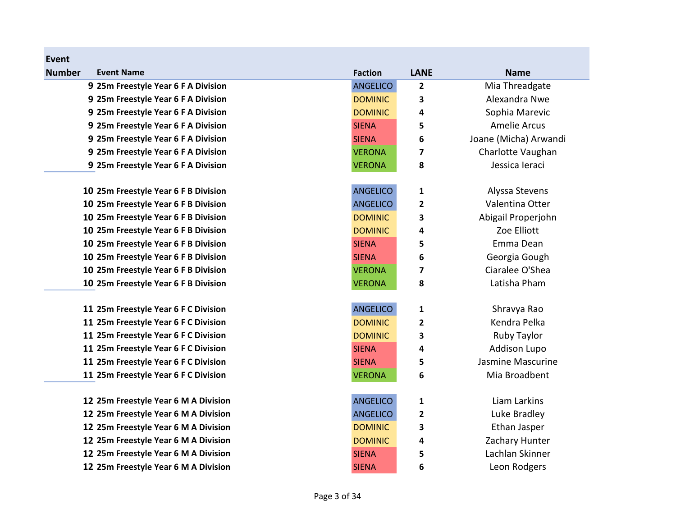| <b>Number</b><br><b>Event Name</b>   | <b>Faction</b>  | <b>LANE</b>    | <b>Name</b>           |
|--------------------------------------|-----------------|----------------|-----------------------|
| 9 25m Freestyle Year 6 F A Division  | <b>ANGELICO</b> | $\mathbf{2}$   | Mia Threadgate        |
| 9 25m Freestyle Year 6 F A Division  | <b>DOMINIC</b>  | 3              | Alexandra Nwe         |
| 9 25m Freestyle Year 6 F A Division  | <b>DOMINIC</b>  | 4              | Sophia Marevic        |
| 9 25m Freestyle Year 6 F A Division  | <b>SIENA</b>    | 5              | <b>Amelie Arcus</b>   |
| 9 25m Freestyle Year 6 F A Division  | <b>SIENA</b>    | 6              | Joane (Micha) Arwandi |
| 9 25m Freestyle Year 6 F A Division  | <b>VERONA</b>   | 7              | Charlotte Vaughan     |
| 9 25m Freestyle Year 6 F A Division  | <b>VERONA</b>   | 8              | Jessica leraci        |
| 10 25m Freestyle Year 6 F B Division | <b>ANGELICO</b> | $\mathbf{1}$   | Alyssa Stevens        |
| 10 25m Freestyle Year 6 F B Division | <b>ANGELICO</b> | $\overline{2}$ | Valentina Otter       |
| 10 25m Freestyle Year 6 F B Division | <b>DOMINIC</b>  | 3              | Abigail Properjohn    |
| 10 25m Freestyle Year 6 F B Division | <b>DOMINIC</b>  | 4              | Zoe Elliott           |
| 10 25m Freestyle Year 6 F B Division | <b>SIENA</b>    | 5              | Emma Dean             |
| 10 25m Freestyle Year 6 F B Division | <b>SIENA</b>    | 6              | Georgia Gough         |
| 10 25m Freestyle Year 6 F B Division | <b>VERONA</b>   | 7              | Ciaralee O'Shea       |
| 10 25m Freestyle Year 6 F B Division | <b>VERONA</b>   | 8              | Latisha Pham          |
| 11 25m Freestyle Year 6 F C Division | <b>ANGELICO</b> | $\mathbf 1$    | Shravya Rao           |
| 11 25m Freestyle Year 6 F C Division | <b>DOMINIC</b>  | $\overline{2}$ | Kendra Pelka          |
| 11 25m Freestyle Year 6 F C Division | <b>DOMINIC</b>  | 3              | Ruby Taylor           |
| 11 25m Freestyle Year 6 F C Division | <b>SIENA</b>    | 4              | <b>Addison Lupo</b>   |
| 11 25m Freestyle Year 6 F C Division | <b>SIENA</b>    | 5              | Jasmine Mascurine     |
| 11 25m Freestyle Year 6 F C Division | <b>VERONA</b>   | 6              | Mia Broadbent         |
| 12 25m Freestyle Year 6 M A Division | <b>ANGELICO</b> | 1              | Liam Larkins          |
| 12 25m Freestyle Year 6 M A Division | <b>ANGELICO</b> | $\mathbf{2}$   | Luke Bradley          |
| 12 25m Freestyle Year 6 M A Division | <b>DOMINIC</b>  | 3              | Ethan Jasper          |
| 12 25m Freestyle Year 6 M A Division | <b>DOMINIC</b>  | 4              | Zachary Hunter        |
| 12 25m Freestyle Year 6 M A Division | <b>SIENA</b>    | 5              | Lachlan Skinner       |
| 12 25m Freestyle Year 6 M A Division | <b>SIENA</b>    | 6              | Leon Rodgers          |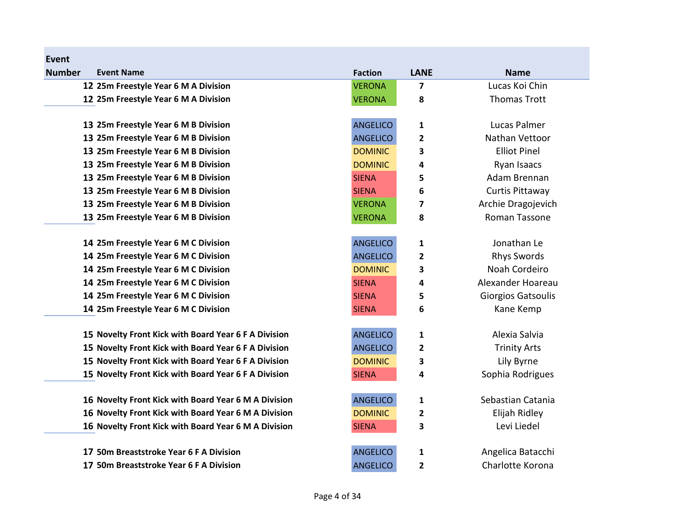| Event         |                                                      |                 |              |                     |
|---------------|------------------------------------------------------|-----------------|--------------|---------------------|
| <b>Number</b> | <b>Event Name</b>                                    | <b>Faction</b>  | <b>LANE</b>  | <b>Name</b>         |
|               | 12 25m Freestyle Year 6 M A Division                 | <b>VERONA</b>   | 7            | Lucas Koi Chin      |
|               | 12 25m Freestyle Year 6 M A Division                 | <b>VERONA</b>   | 8            | <b>Thomas Trott</b> |
|               |                                                      |                 |              |                     |
|               | 13 25m Freestyle Year 6 M B Division                 | <b>ANGELICO</b> | 1            | Lucas Palmer        |
|               | 13 25m Freestyle Year 6 M B Division                 | <b>ANGELICO</b> | 2            | Nathan Vettoor      |
|               | 13 25m Freestyle Year 6 M B Division                 | <b>DOMINIC</b>  | 3            | <b>Elliot Pinel</b> |
|               | 13 25m Freestyle Year 6 M B Division                 | <b>DOMINIC</b>  | 4            | Ryan Isaacs         |
|               | 13 25m Freestyle Year 6 M B Division                 | <b>SIENA</b>    | 5            | Adam Brennan        |
|               | 13 25m Freestyle Year 6 M B Division                 | <b>SIENA</b>    | 6            | Curtis Pittaway     |
|               | 13 25m Freestyle Year 6 M B Division                 | <b>VERONA</b>   | 7            | Archie Dragojevich  |
|               | 13 25m Freestyle Year 6 M B Division                 | <b>VERONA</b>   | 8            | Roman Tassone       |
|               | 14 25m Freestyle Year 6 M C Division                 | <b>ANGELICO</b> | 1            | Jonathan Le         |
|               | 14 25m Freestyle Year 6 M C Division                 | <b>ANGELICO</b> | $\mathbf{2}$ | <b>Rhys Swords</b>  |
|               | 14 25m Freestyle Year 6 M C Division                 | <b>DOMINIC</b>  | 3            | Noah Cordeiro       |
|               | 14 25m Freestyle Year 6 M C Division                 | <b>SIENA</b>    | 4            | Alexander Hoareau   |
|               | 14 25m Freestyle Year 6 M C Division                 | <b>SIENA</b>    | 5            | Giorgios Gatsoulis  |
|               | 14 25m Freestyle Year 6 M C Division                 | <b>SIENA</b>    | 6            | Kane Kemp           |
|               | 15 Novelty Front Kick with Board Year 6 F A Division | <b>ANGELICO</b> | $\mathbf{1}$ | Alexia Salvia       |
|               | 15 Novelty Front Kick with Board Year 6 F A Division | <b>ANGELICO</b> | 2            | <b>Trinity Arts</b> |
|               | 15 Novelty Front Kick with Board Year 6 F A Division | <b>DOMINIC</b>  | 3            | Lily Byrne          |
|               | 15 Novelty Front Kick with Board Year 6 F A Division | <b>SIENA</b>    | 4            | Sophia Rodrigues    |
|               | 16 Novelty Front Kick with Board Year 6 M A Division | <b>ANGELICO</b> | 1            | Sebastian Catania   |
|               | 16 Novelty Front Kick with Board Year 6 M A Division | <b>DOMINIC</b>  | $\mathbf{2}$ | Elijah Ridley       |
|               | 16 Novelty Front Kick with Board Year 6 M A Division | <b>SIENA</b>    | 3            | Levi Liedel         |
|               |                                                      |                 |              |                     |
|               | 17 50m Breaststroke Year 6 F A Division              | <b>ANGELICO</b> | 1            | Angelica Batacchi   |
|               | 17 50m Breaststroke Year 6 F A Division              | <b>ANGELICO</b> | 2            | Charlotte Korona    |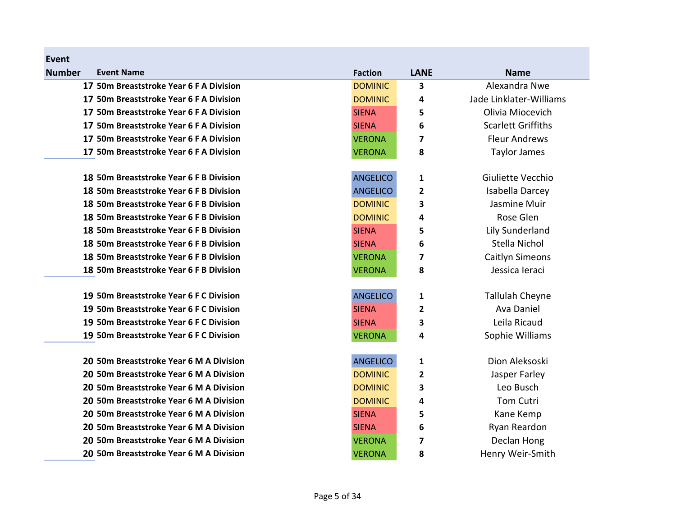| Event         |                                         |                 |              |                           |
|---------------|-----------------------------------------|-----------------|--------------|---------------------------|
| <b>Number</b> | <b>Event Name</b>                       | <b>Faction</b>  | <b>LANE</b>  | <b>Name</b>               |
|               | 17 50m Breaststroke Year 6 F A Division | <b>DOMINIC</b>  | 3            | Alexandra Nwe             |
|               | 17 50m Breaststroke Year 6 F A Division | <b>DOMINIC</b>  | 4            | Jade Linklater-Williams   |
|               | 17 50m Breaststroke Year 6 F A Division | <b>SIENA</b>    | 5            | Olivia Miocevich          |
|               | 17 50m Breaststroke Year 6 F A Division | <b>SIENA</b>    | 6            | <b>Scarlett Griffiths</b> |
|               | 17 50m Breaststroke Year 6 F A Division | <b>VERONA</b>   | 7            | <b>Fleur Andrews</b>      |
|               | 17 50m Breaststroke Year 6 F A Division | <b>VERONA</b>   | 8            | Taylor James              |
|               | 18 50m Breaststroke Year 6 F B Division | <b>ANGELICO</b> | 1            | Giuliette Vecchio         |
|               | 18 50m Breaststroke Year 6 F B Division | <b>ANGELICO</b> | 2            | Isabella Darcey           |
|               | 18 50m Breaststroke Year 6 F B Division | <b>DOMINIC</b>  | 3            | Jasmine Muir              |
|               | 18 50m Breaststroke Year 6 F B Division | <b>DOMINIC</b>  | 4            | Rose Glen                 |
|               | 18 50m Breaststroke Year 6 F B Division | <b>SIENA</b>    | 5            | Lily Sunderland           |
|               | 18 50m Breaststroke Year 6 F B Division | <b>SIENA</b>    | 6            | Stella Nichol             |
|               | 18 50m Breaststroke Year 6 F B Division | <b>VERONA</b>   | 7            | Caitlyn Simeons           |
|               | 18 50m Breaststroke Year 6 F B Division | <b>VERONA</b>   | 8            | Jessica leraci            |
|               | 19 50m Breaststroke Year 6 F C Division | <b>ANGELICO</b> | 1            | <b>Tallulah Cheyne</b>    |
|               | 19 50m Breaststroke Year 6 F C Division | <b>SIENA</b>    | $\mathbf{2}$ | Ava Daniel                |
|               | 19 50m Breaststroke Year 6 F C Division | <b>SIENA</b>    | 3            | Leila Ricaud              |
|               | 19 50m Breaststroke Year 6 F C Division | <b>VERONA</b>   | 4            | Sophie Williams           |
|               | 20 50m Breaststroke Year 6 M A Division | <b>ANGELICO</b> | 1            | Dion Aleksoski            |
|               | 20 50m Breaststroke Year 6 M A Division | <b>DOMINIC</b>  | 2            | Jasper Farley             |
|               | 20 50m Breaststroke Year 6 M A Division | <b>DOMINIC</b>  | 3            | Leo Busch                 |
|               | 20 50m Breaststroke Year 6 M A Division | <b>DOMINIC</b>  | 4            | <b>Tom Cutri</b>          |
|               | 20 50m Breaststroke Year 6 M A Division | <b>SIENA</b>    | 5            | Kane Kemp                 |
|               | 20 50m Breaststroke Year 6 M A Division | <b>SIENA</b>    | 6            | Ryan Reardon              |
|               | 20 50m Breaststroke Year 6 M A Division | <b>VERONA</b>   | 7            | Declan Hong               |
|               | 20 50m Breaststroke Year 6 M A Division | <b>VERONA</b>   | 8            | Henry Weir-Smith          |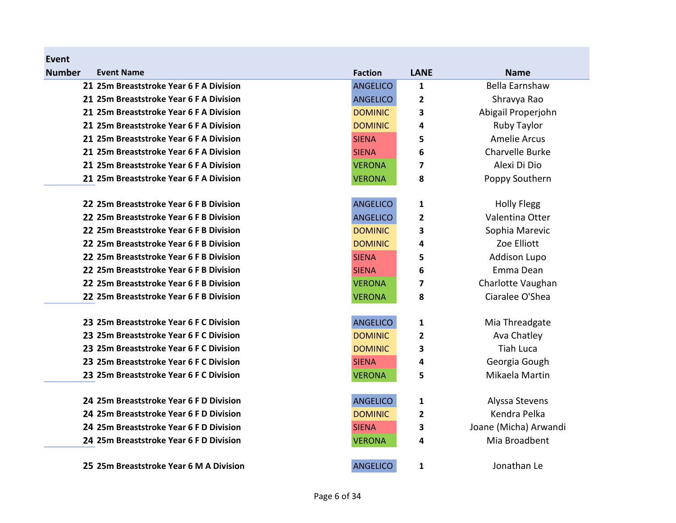| <b>Number</b> | <b>Event Name</b>                       | <b>Faction</b>  | <b>LANE</b>    | <b>Name</b>                    |
|---------------|-----------------------------------------|-----------------|----------------|--------------------------------|
|               | 21 25m Breaststroke Year 6 F A Division | <b>ANGELICO</b> | $\mathbf{1}$   | <b>Bella Earnshaw</b>          |
|               | 21 25m Breaststroke Year 6 F A Division | <b>ANGELICO</b> | $\overline{2}$ | Shravya Rao                    |
|               | 21 25m Breaststroke Year 6 F A Division | <b>DOMINIC</b>  | 3              | Abigail Properjohn             |
|               | 21 25m Breaststroke Year 6 F A Division | <b>DOMINIC</b>  | 4              | Ruby Taylor                    |
|               | 21 25m Breaststroke Year 6 F A Division | <b>SIENA</b>    | 5              | <b>Amelie Arcus</b>            |
|               | 21 25m Breaststroke Year 6 F A Division | <b>SIENA</b>    | 6              | Charvelle Burke                |
|               | 21 25m Breaststroke Year 6 F A Division | <b>VERONA</b>   | 7              | Alexi Di Dio                   |
|               | 21 25m Breaststroke Year 6 F A Division | <b>VERONA</b>   | 8              | Poppy Southern                 |
|               |                                         |                 |                |                                |
|               | 22 25m Breaststroke Year 6 F B Division | <b>ANGELICO</b> | 1              | <b>Holly Flegg</b>             |
|               | 22 25m Breaststroke Year 6 F B Division | <b>ANGELICO</b> | 2              | Valentina Otter                |
|               | 22 25m Breaststroke Year 6 F B Division | <b>DOMINIC</b>  | 3              | Sophia Marevic                 |
|               | 22 25m Breaststroke Year 6 F B Division | <b>DOMINIC</b>  | 4              | Zoe Elliott                    |
|               | 22 25m Breaststroke Year 6 F B Division | <b>SIENA</b>    | 5              | <b>Addison Lupo</b>            |
|               | 22 25m Breaststroke Year 6 F B Division | <b>SIENA</b>    | 6              | Emma Dean                      |
|               | 22 25m Breaststroke Year 6 F B Division | <b>VERONA</b>   | 7              | Charlotte Vaughan              |
|               | 22 25m Breaststroke Year 6 F B Division | <b>VERONA</b>   | 8              | Ciaralee O'Shea                |
|               |                                         |                 |                |                                |
|               | 23 25m Breaststroke Year 6 F C Division | <b>ANGELICO</b> | 1              | Mia Threadgate                 |
|               | 23 25m Breaststroke Year 6 F C Division | <b>DOMINIC</b>  | $\overline{2}$ | Ava Chatley                    |
|               | 23 25m Breaststroke Year 6 F C Division | <b>DOMINIC</b>  | 3              | <b>Tiah Luca</b>               |
|               | 23 25m Breaststroke Year 6 F C Division | <b>SIENA</b>    | 4              | Georgia Gough                  |
|               | 23 25m Breaststroke Year 6 F C Division | <b>VERONA</b>   | 5              | Mikaela Martin                 |
|               | 24 25m Breaststroke Year 6 F D Division |                 |                |                                |
|               | 24 25m Breaststroke Year 6 F D Division | <b>ANGELICO</b> | 1              | Alyssa Stevens<br>Kendra Pelka |
|               |                                         | <b>DOMINIC</b>  | $\overline{2}$ |                                |
|               | 24 25m Breaststroke Year 6 F D Division | <b>SIENA</b>    | 3              | Joane (Micha) Arwandi          |
|               | 24 25m Breaststroke Year 6 F D Division | <b>VERONA</b>   | 4              | Mia Broadbent                  |
|               | 25 25m Breaststroke Year 6 M A Division | <b>ANGELICO</b> | $\mathbf{1}$   | Jonathan Le                    |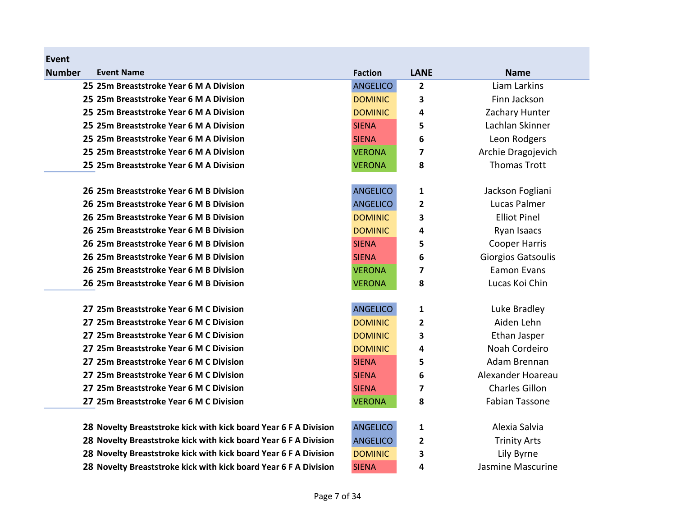| <b>Event</b>  |                                                                  |                 |              |                       |
|---------------|------------------------------------------------------------------|-----------------|--------------|-----------------------|
| <b>Number</b> | <b>Event Name</b>                                                | <b>Faction</b>  | <b>LANE</b>  | <b>Name</b>           |
|               | 25 25m Breaststroke Year 6 M A Division                          | <b>ANGELICO</b> | 2            | Liam Larkins          |
|               | 25 25m Breaststroke Year 6 M A Division                          | <b>DOMINIC</b>  | 3            | Finn Jackson          |
|               | 25 25m Breaststroke Year 6 M A Division                          | <b>DOMINIC</b>  | 4            | Zachary Hunter        |
|               | 25 25m Breaststroke Year 6 M A Division                          | <b>SIENA</b>    | 5            | Lachlan Skinner       |
|               | 25 25m Breaststroke Year 6 M A Division                          | <b>SIENA</b>    | 6            | Leon Rodgers          |
|               | 25 25m Breaststroke Year 6 M A Division                          | <b>VERONA</b>   | 7            | Archie Dragojevich    |
|               | 25 25m Breaststroke Year 6 M A Division                          | <b>VERONA</b>   | 8            | <b>Thomas Trott</b>   |
|               | 26 25m Breaststroke Year 6 M B Division                          | <b>ANGELICO</b> | 1            | Jackson Fogliani      |
|               | 26 25m Breaststroke Year 6 M B Division                          | <b>ANGELICO</b> | $\mathbf{2}$ | Lucas Palmer          |
|               | 26 25m Breaststroke Year 6 M B Division                          | <b>DOMINIC</b>  | 3            | <b>Elliot Pinel</b>   |
|               | 26 25m Breaststroke Year 6 M B Division                          | <b>DOMINIC</b>  | 4            | Ryan Isaacs           |
|               | 26 25m Breaststroke Year 6 M B Division                          | <b>SIENA</b>    | 5            | <b>Cooper Harris</b>  |
|               | 26 25m Breaststroke Year 6 M B Division                          | <b>SIENA</b>    | 6            | Giorgios Gatsoulis    |
|               | 26 25m Breaststroke Year 6 M B Division                          | <b>VERONA</b>   | 7            | <b>Eamon Evans</b>    |
|               | 26 25m Breaststroke Year 6 M B Division                          | <b>VERONA</b>   | 8            | Lucas Koi Chin        |
|               | 27 25m Breaststroke Year 6 M C Division                          | <b>ANGELICO</b> | 1            | Luke Bradley          |
|               | 27 25m Breaststroke Year 6 M C Division                          | <b>DOMINIC</b>  | 2            | Aiden Lehn            |
|               | 27 25m Breaststroke Year 6 M C Division                          | <b>DOMINIC</b>  | 3            | Ethan Jasper          |
|               | 27 25m Breaststroke Year 6 M C Division                          | <b>DOMINIC</b>  | 4            | Noah Cordeiro         |
|               | 27 25m Breaststroke Year 6 M C Division                          | <b>SIENA</b>    | 5            | Adam Brennan          |
|               | 27 25m Breaststroke Year 6 M C Division                          | <b>SIENA</b>    | 6            | Alexander Hoareau     |
|               | 27 25m Breaststroke Year 6 M C Division                          | <b>SIENA</b>    | 7            | <b>Charles Gillon</b> |
|               | 27 25m Breaststroke Year 6 M C Division                          | <b>VERONA</b>   | 8            | <b>Fabian Tassone</b> |
|               | 28 Novelty Breaststroke kick with kick board Year 6 F A Division | <b>ANGELICO</b> | 1            | Alexia Salvia         |
|               | 28 Novelty Breaststroke kick with kick board Year 6 F A Division | <b>ANGELICO</b> | $\mathbf{2}$ | <b>Trinity Arts</b>   |
|               | 28 Novelty Breaststroke kick with kick board Year 6 F A Division | <b>DOMINIC</b>  | 3            | Lily Byrne            |

Page 7 of 34

28 Novelty Breaststroke kick with kick board Year 6 F A Division SIENA 4 Jasmine Mascurine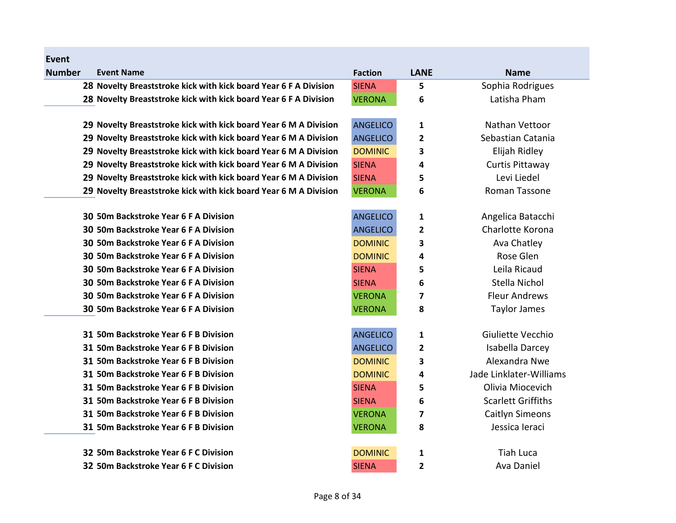| Event         |                                                                  |                 |                         |                           |
|---------------|------------------------------------------------------------------|-----------------|-------------------------|---------------------------|
| <b>Number</b> | <b>Event Name</b>                                                | <b>Faction</b>  | <b>LANE</b>             | <b>Name</b>               |
|               | 28 Novelty Breaststroke kick with kick board Year 6 F A Division | <b>SIENA</b>    | 5                       | Sophia Rodrigues          |
|               | 28 Novelty Breaststroke kick with kick board Year 6 F A Division | <b>VERONA</b>   | 6                       | Latisha Pham              |
|               |                                                                  |                 |                         |                           |
|               | 29 Novelty Breaststroke kick with kick board Year 6 M A Division | <b>ANGELICO</b> | 1                       | Nathan Vettoor            |
|               | 29 Novelty Breaststroke kick with kick board Year 6 M A Division | <b>ANGELICO</b> | $\overline{2}$          | Sebastian Catania         |
|               | 29 Novelty Breaststroke kick with kick board Year 6 M A Division | <b>DOMINIC</b>  | 3                       | Elijah Ridley             |
|               | 29 Novelty Breaststroke kick with kick board Year 6 M A Division | <b>SIENA</b>    | 4                       | Curtis Pittaway           |
|               | 29 Novelty Breaststroke kick with kick board Year 6 M A Division | <b>SIENA</b>    | 5                       | Levi Liedel               |
|               | 29 Novelty Breaststroke kick with kick board Year 6 M A Division | <b>VERONA</b>   | 6                       | <b>Roman Tassone</b>      |
|               |                                                                  |                 |                         |                           |
|               | 30 50m Backstroke Year 6 F A Division                            | <b>ANGELICO</b> | 1                       | Angelica Batacchi         |
|               | 30 50m Backstroke Year 6 F A Division                            | <b>ANGELICO</b> | $\overline{2}$          | Charlotte Korona          |
|               | 30 50m Backstroke Year 6 F A Division                            | <b>DOMINIC</b>  | 3                       | Ava Chatley               |
|               | 30 50m Backstroke Year 6 F A Division                            | <b>DOMINIC</b>  | 4                       | Rose Glen                 |
|               | 30 50m Backstroke Year 6 F A Division                            | <b>SIENA</b>    | 5                       | Leila Ricaud              |
|               | 30 50m Backstroke Year 6 F A Division                            | <b>SIENA</b>    | 6                       | Stella Nichol             |
|               | 30 50m Backstroke Year 6 F A Division                            | <b>VERONA</b>   | $\overline{7}$          | <b>Fleur Andrews</b>      |
|               | 30 50m Backstroke Year 6 F A Division                            | <b>VERONA</b>   | 8                       | <b>Taylor James</b>       |
|               |                                                                  |                 |                         |                           |
|               | 31 50m Backstroke Year 6 F B Division                            | <b>ANGELICO</b> | $\mathbf{1}$            | Giuliette Vecchio         |
|               | 31 50m Backstroke Year 6 F B Division                            | <b>ANGELICO</b> | 2                       | Isabella Darcey           |
|               | 31 50m Backstroke Year 6 F B Division                            | <b>DOMINIC</b>  | 3                       | Alexandra Nwe             |
|               | 31 50m Backstroke Year 6 F B Division                            | <b>DOMINIC</b>  | 4                       | Jade Linklater-Williams   |
|               | 31 50m Backstroke Year 6 F B Division                            | <b>SIENA</b>    | 5                       | Olivia Miocevich          |
|               | 31 50m Backstroke Year 6 F B Division                            | <b>SIENA</b>    | 6                       | <b>Scarlett Griffiths</b> |
|               | 31 50m Backstroke Year 6 F B Division                            | <b>VERONA</b>   | 7                       | Caitlyn Simeons           |
|               | 31 50m Backstroke Year 6 F B Division                            | <b>VERONA</b>   | 8                       | Jessica leraci            |
|               | 32 50m Backstroke Year 6 F C Division                            | <b>DOMINIC</b>  | $\mathbf{1}$            | <b>Tiah Luca</b>          |
|               | 32 50m Backstroke Year 6 F C Division                            | <b>SIENA</b>    | $\overline{\mathbf{c}}$ | Ava Daniel                |
|               |                                                                  |                 |                         |                           |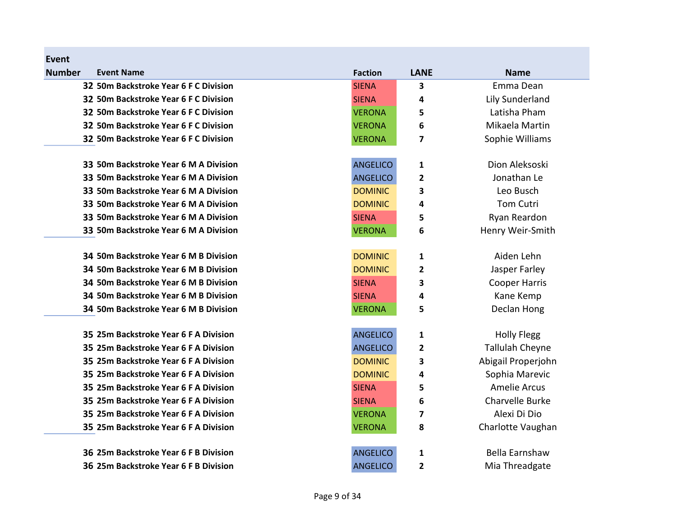| <b>Event</b>                          |                 |                         |                        |
|---------------------------------------|-----------------|-------------------------|------------------------|
| <b>Number</b><br><b>Event Name</b>    | <b>Faction</b>  | <b>LANE</b>             | <b>Name</b>            |
| 32 50m Backstroke Year 6 F C Division | <b>SIENA</b>    | 3                       | Emma Dean              |
| 32 50m Backstroke Year 6 F C Division | <b>SIENA</b>    | 4                       | Lily Sunderland        |
| 32 50m Backstroke Year 6 F C Division | <b>VERONA</b>   | 5                       | Latisha Pham           |
| 32 50m Backstroke Year 6 F C Division | <b>VERONA</b>   | 6                       | Mikaela Martin         |
| 32 50m Backstroke Year 6 F C Division | <b>VERONA</b>   | $\overline{\mathbf{z}}$ | Sophie Williams        |
| 33 50m Backstroke Year 6 M A Division | <b>ANGELICO</b> | 1                       | Dion Aleksoski         |
| 33 50m Backstroke Year 6 M A Division | <b>ANGELICO</b> | 2                       | Jonathan Le            |
| 33 50m Backstroke Year 6 M A Division | <b>DOMINIC</b>  | 3                       | Leo Busch              |
| 33 50m Backstroke Year 6 M A Division | <b>DOMINIC</b>  | 4                       | <b>Tom Cutri</b>       |
| 33 50m Backstroke Year 6 M A Division | <b>SIENA</b>    | 5                       | Ryan Reardon           |
| 33 50m Backstroke Year 6 M A Division | <b>VERONA</b>   | 6                       | Henry Weir-Smith       |
| 34 50m Backstroke Year 6 M B Division | <b>DOMINIC</b>  | $\mathbf{1}$            | Aiden Lehn             |
| 34 50m Backstroke Year 6 M B Division | <b>DOMINIC</b>  | $\overline{2}$          | Jasper Farley          |
| 34 50m Backstroke Year 6 M B Division | <b>SIENA</b>    | 3                       | <b>Cooper Harris</b>   |
| 34 50m Backstroke Year 6 M B Division | <b>SIENA</b>    | 4                       | Kane Kemp              |
| 34 50m Backstroke Year 6 M B Division | <b>VERONA</b>   | 5                       | Declan Hong            |
| 35 25m Backstroke Year 6 F A Division | <b>ANGELICO</b> | 1                       | <b>Holly Flegg</b>     |
| 35 25m Backstroke Year 6 F A Division | <b>ANGELICO</b> | 2                       | <b>Tallulah Cheyne</b> |
| 35 25m Backstroke Year 6 F A Division | <b>DOMINIC</b>  | 3                       | Abigail Properjohn     |
| 35 25m Backstroke Year 6 F A Division | <b>DOMINIC</b>  | 4                       | Sophia Marevic         |
| 35 25m Backstroke Year 6 F A Division | <b>SIENA</b>    | 5                       | <b>Amelie Arcus</b>    |
| 35 25m Backstroke Year 6 F A Division | <b>SIENA</b>    | 6                       | Charvelle Burke        |
| 35 25m Backstroke Year 6 F A Division | <b>VERONA</b>   | $\overline{\mathbf{z}}$ | Alexi Di Dio           |
| 35 25m Backstroke Year 6 F A Division | <b>VERONA</b>   | 8                       | Charlotte Vaughan      |
| 36 25m Backstroke Year 6 F B Division | <b>ANGELICO</b> | 1                       | Bella Earnshaw         |
| 36 25m Backstroke Year 6 F B Division | <b>ANGELICO</b> | 2                       | Mia Threadgate         |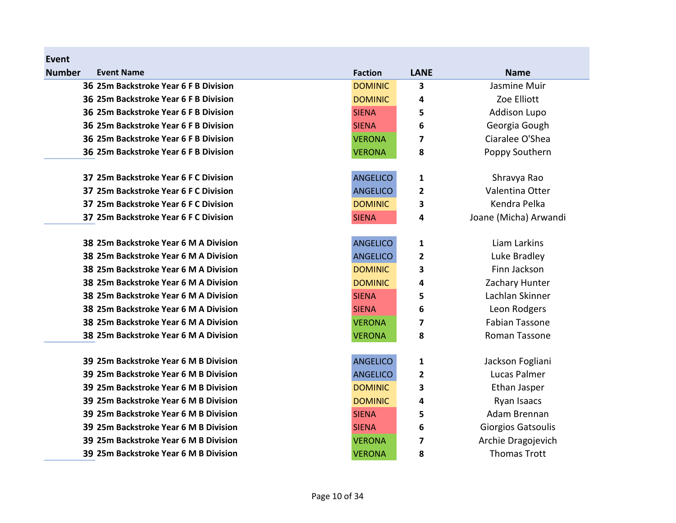| Event         |                                       |                 |              |                           |
|---------------|---------------------------------------|-----------------|--------------|---------------------------|
| <b>Number</b> | <b>Event Name</b>                     | <b>Faction</b>  | <b>LANE</b>  | <b>Name</b>               |
|               | 36 25m Backstroke Year 6 F B Division | <b>DOMINIC</b>  | 3            | Jasmine Muir              |
|               | 36 25m Backstroke Year 6 F B Division | <b>DOMINIC</b>  | 4            | Zoe Elliott               |
|               | 36 25m Backstroke Year 6 F B Division | <b>SIENA</b>    | 5            | <b>Addison Lupo</b>       |
|               | 36 25m Backstroke Year 6 F B Division | <b>SIENA</b>    | 6            | Georgia Gough             |
|               | 36 25m Backstroke Year 6 F B Division | <b>VERONA</b>   | 7            | Ciaralee O'Shea           |
|               | 36 25m Backstroke Year 6 F B Division | <b>VERONA</b>   | 8            | Poppy Southern            |
|               | 37 25m Backstroke Year 6 F C Division | <b>ANGELICO</b> | 1            | Shravya Rao               |
|               | 37 25m Backstroke Year 6 F C Division | <b>ANGELICO</b> | $\mathbf{2}$ | Valentina Otter           |
|               | 37 25m Backstroke Year 6 F C Division | <b>DOMINIC</b>  | 3            | Kendra Pelka              |
|               | 37 25m Backstroke Year 6 F C Division | <b>SIENA</b>    | 4            | Joane (Micha) Arwandi     |
|               | 38 25m Backstroke Year 6 M A Division | <b>ANGELICO</b> | 1            | Liam Larkins              |
|               | 38 25m Backstroke Year 6 M A Division | <b>ANGELICO</b> | 2            | Luke Bradley              |
|               | 38 25m Backstroke Year 6 M A Division | <b>DOMINIC</b>  | 3            | Finn Jackson              |
|               | 38 25m Backstroke Year 6 M A Division | <b>DOMINIC</b>  | 4            | Zachary Hunter            |
|               | 38 25m Backstroke Year 6 M A Division | <b>SIENA</b>    | 5            | Lachlan Skinner           |
|               | 38 25m Backstroke Year 6 M A Division | <b>SIENA</b>    | 6            | Leon Rodgers              |
|               | 38 25m Backstroke Year 6 M A Division | <b>VERONA</b>   | 7            | <b>Fabian Tassone</b>     |
|               | 38 25m Backstroke Year 6 M A Division | <b>VERONA</b>   | 8            | Roman Tassone             |
|               | 39 25m Backstroke Year 6 M B Division | <b>ANGELICO</b> | 1            | Jackson Fogliani          |
|               | 39 25m Backstroke Year 6 M B Division | <b>ANGELICO</b> | 2            | Lucas Palmer              |
|               | 39 25m Backstroke Year 6 M B Division | <b>DOMINIC</b>  | 3            | Ethan Jasper              |
|               | 39 25m Backstroke Year 6 M B Division | <b>DOMINIC</b>  | 4            | Ryan Isaacs               |
|               | 39 25m Backstroke Year 6 M B Division | <b>SIENA</b>    | 5            | Adam Brennan              |
|               | 39 25m Backstroke Year 6 M B Division | <b>SIENA</b>    | 6            | <b>Giorgios Gatsoulis</b> |
|               | 39 25m Backstroke Year 6 M B Division | <b>VERONA</b>   | 7            | Archie Dragojevich        |
|               | 39 25m Backstroke Year 6 M B Division | <b>VERONA</b>   | 8            | <b>Thomas Trott</b>       |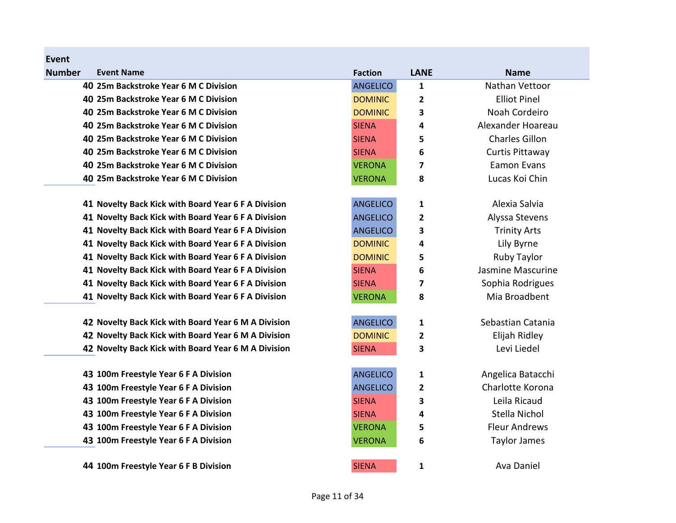| <b>Number</b> | <b>Event Name</b>                                   | <b>Faction</b>  | <b>LANE</b>             | <b>Name</b>           |
|---------------|-----------------------------------------------------|-----------------|-------------------------|-----------------------|
|               | 40 25m Backstroke Year 6 M C Division               | <b>ANGELICO</b> | 1                       | Nathan Vettoor        |
|               | 40 25m Backstroke Year 6 M C Division               | <b>DOMINIC</b>  | $\overline{\mathbf{c}}$ | <b>Elliot Pinel</b>   |
|               | 40 25m Backstroke Year 6 M C Division               | <b>DOMINIC</b>  | 3                       | Noah Cordeiro         |
|               | 40 25m Backstroke Year 6 M C Division               | <b>SIENA</b>    | 4                       | Alexander Hoareau     |
|               | 40 25m Backstroke Year 6 M C Division               | <b>SIENA</b>    | 5                       | <b>Charles Gillon</b> |
|               | 40 25m Backstroke Year 6 M C Division               | <b>SIENA</b>    | 6                       | Curtis Pittaway       |
|               | 40 25m Backstroke Year 6 M C Division               | <b>VERONA</b>   | 7                       | <b>Eamon Evans</b>    |
|               | 40 25m Backstroke Year 6 M C Division               | <b>VERONA</b>   | 8                       | Lucas Koi Chin        |
|               | 41 Novelty Back Kick with Board Year 6 F A Division | <b>ANGELICO</b> | 1                       | Alexia Salvia         |
|               | 41 Novelty Back Kick with Board Year 6 F A Division | <b>ANGELICO</b> | 2                       | Alyssa Stevens        |
|               | 41 Novelty Back Kick with Board Year 6 F A Division | <b>ANGELICO</b> | 3                       | <b>Trinity Arts</b>   |
|               | 41 Novelty Back Kick with Board Year 6 F A Division | <b>DOMINIC</b>  | 4                       | Lily Byrne            |
|               | 41 Novelty Back Kick with Board Year 6 F A Division | <b>DOMINIC</b>  | 5                       | <b>Ruby Taylor</b>    |
|               | 41 Novelty Back Kick with Board Year 6 F A Division | <b>SIENA</b>    | 6                       | Jasmine Mascurine     |
|               | 41 Novelty Back Kick with Board Year 6 F A Division | <b>SIENA</b>    | 7                       | Sophia Rodrigues      |
|               | 41 Novelty Back Kick with Board Year 6 F A Division | <b>VERONA</b>   | 8                       | Mia Broadbent         |
|               | 42 Novelty Back Kick with Board Year 6 M A Division | <b>ANGELICO</b> | 1                       | Sebastian Catania     |
|               | 42 Novelty Back Kick with Board Year 6 M A Division | <b>DOMINIC</b>  | 2                       | Elijah Ridley         |
|               | 42 Novelty Back Kick with Board Year 6 M A Division | <b>SIENA</b>    | 3                       | Levi Liedel           |
|               | 43 100m Freestyle Year 6 F A Division               | <b>ANGELICO</b> | 1                       | Angelica Batacchi     |
|               | 43 100m Freestyle Year 6 F A Division               | <b>ANGELICO</b> | $\mathbf{2}$            | Charlotte Korona      |
|               | 43 100m Freestyle Year 6 F A Division               | <b>SIENA</b>    | 3                       | Leila Ricaud          |
|               | 43 100m Freestyle Year 6 F A Division               | <b>SIENA</b>    | 4                       | Stella Nichol         |
|               | 43 100m Freestyle Year 6 F A Division               | <b>VERONA</b>   | 5                       | <b>Fleur Andrews</b>  |
|               | 43 100m Freestyle Year 6 F A Division               | <b>VERONA</b>   | 6                       | Taylor James          |
|               | 44 100m Freestyle Year 6 F B Division               | <b>SIENA</b>    | 1                       | Ava Daniel            |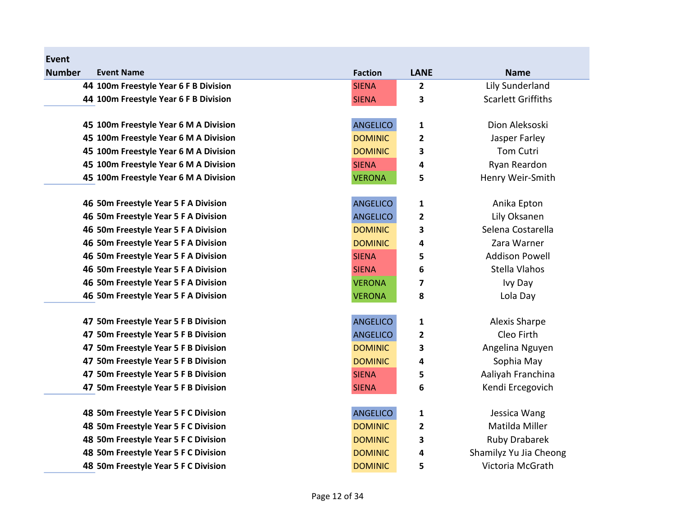| Event         |                                       |                 |              |                           |
|---------------|---------------------------------------|-----------------|--------------|---------------------------|
| <b>Number</b> | <b>Event Name</b>                     | <b>Faction</b>  | <b>LANE</b>  | <b>Name</b>               |
|               | 44 100m Freestyle Year 6 F B Division | <b>SIENA</b>    | $\mathbf{2}$ | Lily Sunderland           |
|               | 44 100m Freestyle Year 6 F B Division | <b>SIENA</b>    | 3            | <b>Scarlett Griffiths</b> |
|               |                                       |                 |              |                           |
|               | 45 100m Freestyle Year 6 M A Division | <b>ANGELICO</b> | $\mathbf 1$  | Dion Aleksoski            |
|               | 45 100m Freestyle Year 6 M A Division | <b>DOMINIC</b>  | 2            | Jasper Farley             |
|               | 45 100m Freestyle Year 6 M A Division | <b>DOMINIC</b>  | 3            | Tom Cutri                 |
|               | 45 100m Freestyle Year 6 M A Division | <b>SIENA</b>    | 4            | Ryan Reardon              |
|               | 45 100m Freestyle Year 6 M A Division | <b>VERONA</b>   | 5            | Henry Weir-Smith          |
|               | 46 50m Freestyle Year 5 F A Division  | <b>ANGELICO</b> | $\mathbf 1$  | Anika Epton               |
|               | 46 50m Freestyle Year 5 F A Division  | <b>ANGELICO</b> | $\mathbf{2}$ | Lily Oksanen              |
|               | 46 50m Freestyle Year 5 F A Division  | <b>DOMINIC</b>  | 3            | Selena Costarella         |
|               | 46 50m Freestyle Year 5 F A Division  | <b>DOMINIC</b>  | 4            | Zara Warner               |
|               | 46 50m Freestyle Year 5 F A Division  | <b>SIENA</b>    | 5            | <b>Addison Powell</b>     |
|               | 46 50m Freestyle Year 5 F A Division  | <b>SIENA</b>    | 6            | Stella Vlahos             |
|               | 46 50m Freestyle Year 5 F A Division  | <b>VERONA</b>   | 7            | Ivy Day                   |
|               | 46 50m Freestyle Year 5 F A Division  | <b>VERONA</b>   | 8            | Lola Day                  |
|               | 47 50m Freestyle Year 5 F B Division  | <b>ANGELICO</b> | $\mathbf{1}$ | <b>Alexis Sharpe</b>      |
|               | 47 50m Freestyle Year 5 F B Division  | <b>ANGELICO</b> | $\mathbf{2}$ | Cleo Firth                |
|               | 47 50m Freestyle Year 5 F B Division  | <b>DOMINIC</b>  | 3            | Angelina Nguyen           |
|               | 47 50m Freestyle Year 5 F B Division  | <b>DOMINIC</b>  | 4            | Sophia May                |
|               | 47 50m Freestyle Year 5 F B Division  | <b>SIENA</b>    | 5            | Aaliyah Franchina         |
|               | 47 50m Freestyle Year 5 F B Division  | <b>SIENA</b>    | 6            | Kendi Ercegovich          |
|               | 48 50m Freestyle Year 5 F C Division  | <b>ANGELICO</b> | 1            | Jessica Wang              |
|               | 48 50m Freestyle Year 5 F C Division  | <b>DOMINIC</b>  | $\mathbf{2}$ | Matilda Miller            |
|               | 48 50m Freestyle Year 5 F C Division  | <b>DOMINIC</b>  | 3            | <b>Ruby Drabarek</b>      |
|               | 48 50m Freestyle Year 5 F C Division  | <b>DOMINIC</b>  | 4            | Shamilyz Yu Jia Cheong    |
|               | 48 50m Freestyle Year 5 F C Division  | <b>DOMINIC</b>  | 5            | Victoria McGrath          |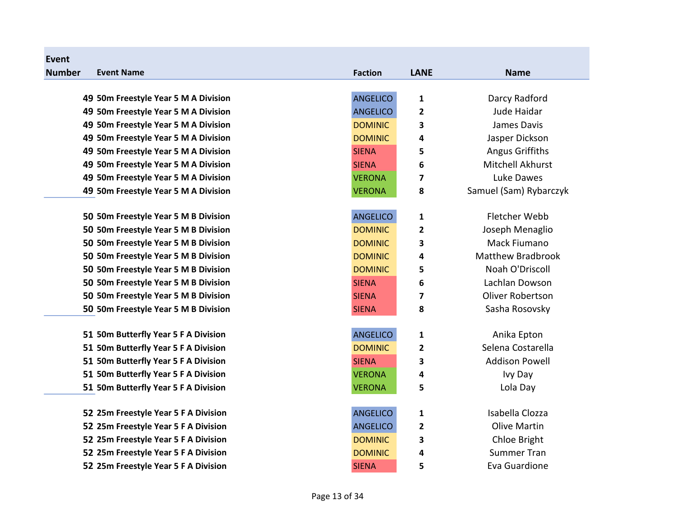| Event         |                                      |                 |                         |                          |
|---------------|--------------------------------------|-----------------|-------------------------|--------------------------|
| <b>Number</b> | <b>Event Name</b>                    | <b>Faction</b>  | <b>LANE</b>             | <b>Name</b>              |
|               |                                      |                 |                         |                          |
|               | 49 50m Freestyle Year 5 M A Division | <b>ANGELICO</b> | 1                       | Darcy Radford            |
|               | 49 50m Freestyle Year 5 M A Division | <b>ANGELICO</b> | 2                       | Jude Haidar              |
|               | 49 50m Freestyle Year 5 M A Division | <b>DOMINIC</b>  | 3                       | James Davis              |
|               | 49 50m Freestyle Year 5 M A Division | <b>DOMINIC</b>  | 4                       | Jasper Dickson           |
|               | 49 50m Freestyle Year 5 M A Division | <b>SIENA</b>    | 5                       | <b>Angus Griffiths</b>   |
|               | 49 50m Freestyle Year 5 M A Division | <b>SIENA</b>    | 6                       | Mitchell Akhurst         |
|               | 49 50m Freestyle Year 5 M A Division | <b>VERONA</b>   | 7                       | Luke Dawes               |
|               | 49 50m Freestyle Year 5 M A Division | <b>VERONA</b>   | 8                       | Samuel (Sam) Rybarczyk   |
|               | 50 50m Freestyle Year 5 M B Division | <b>ANGELICO</b> | 1                       | Fletcher Webb            |
|               | 50 50m Freestyle Year 5 M B Division | <b>DOMINIC</b>  | $\overline{\mathbf{c}}$ | Joseph Menaglio          |
|               | 50 50m Freestyle Year 5 M B Division | <b>DOMINIC</b>  | 3                       | Mack Fiumano             |
|               | 50 50m Freestyle Year 5 M B Division | <b>DOMINIC</b>  | 4                       | <b>Matthew Bradbrook</b> |
|               | 50 50m Freestyle Year 5 M B Division | <b>DOMINIC</b>  | 5                       | Noah O'Driscoll          |
|               | 50 50m Freestyle Year 5 M B Division | <b>SIENA</b>    | 6                       | Lachlan Dowson           |
|               | 50 50m Freestyle Year 5 M B Division | <b>SIENA</b>    | $\overline{\mathbf{z}}$ | <b>Oliver Robertson</b>  |
|               | 50 50m Freestyle Year 5 M B Division | <b>SIENA</b>    | 8                       | Sasha Rosovsky           |
|               | 51 50m Butterfly Year 5 F A Division | <b>ANGELICO</b> | 1                       | Anika Epton              |
|               | 51 50m Butterfly Year 5 F A Division | <b>DOMINIC</b>  | 2                       | Selena Costarella        |
|               | 51 50m Butterfly Year 5 F A Division | <b>SIENA</b>    | 3                       | <b>Addison Powell</b>    |
|               | 51 50m Butterfly Year 5 F A Division | <b>VERONA</b>   | 4                       | Ivy Day                  |
|               | 51 50m Butterfly Year 5 F A Division | <b>VERONA</b>   | 5                       | Lola Day                 |
|               | 52 25m Freestyle Year 5 F A Division | <b>ANGELICO</b> | 1                       | Isabella Clozza          |
|               | 52 25m Freestyle Year 5 F A Division | <b>ANGELICO</b> | $\overline{\mathbf{c}}$ | <b>Olive Martin</b>      |
|               | 52 25m Freestyle Year 5 F A Division | <b>DOMINIC</b>  | 3                       | Chloe Bright             |
|               | 52 25m Freestyle Year 5 F A Division | <b>DOMINIC</b>  | 4                       | <b>Summer Tran</b>       |
|               | 52 25m Freestyle Year 5 F A Division | <b>SIENA</b>    | 5                       | Eva Guardione            |
|               |                                      |                 |                         |                          |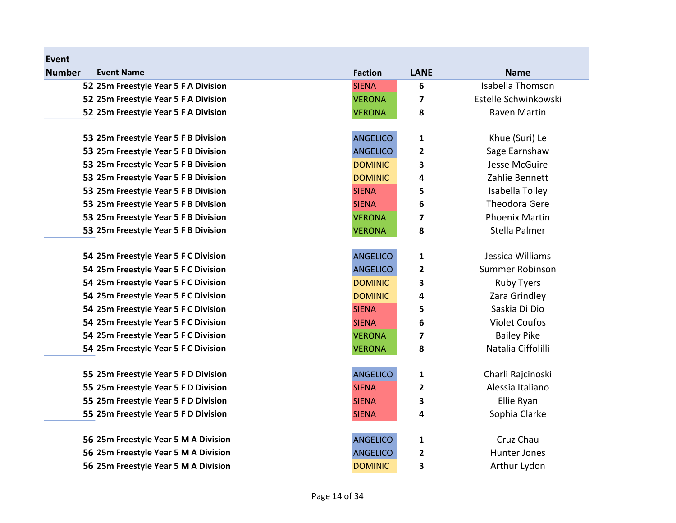| Event         |                                      |                 |                         |                         |
|---------------|--------------------------------------|-----------------|-------------------------|-------------------------|
| <b>Number</b> | <b>Event Name</b>                    | <b>Faction</b>  | <b>LANE</b>             | <b>Name</b>             |
|               | 52 25m Freestyle Year 5 F A Division | <b>SIENA</b>    | 6                       | <b>Isabella Thomson</b> |
|               | 52 25m Freestyle Year 5 F A Division | <b>VERONA</b>   | 7                       | Estelle Schwinkowski    |
|               | 52 25m Freestyle Year 5 F A Division | <b>VERONA</b>   | 8                       | Raven Martin            |
|               |                                      |                 |                         |                         |
|               | 53 25m Freestyle Year 5 F B Division | <b>ANGELICO</b> | 1                       | Khue (Suri) Le          |
|               | 53 25m Freestyle Year 5 F B Division | <b>ANGELICO</b> | $\overline{\mathbf{c}}$ | Sage Earnshaw           |
|               | 53 25m Freestyle Year 5 F B Division | <b>DOMINIC</b>  | 3                       | Jesse McGuire           |
|               | 53 25m Freestyle Year 5 F B Division | <b>DOMINIC</b>  | 4                       | Zahlie Bennett          |
|               | 53 25m Freestyle Year 5 F B Division | <b>SIENA</b>    | 5                       | Isabella Tolley         |
|               | 53 25m Freestyle Year 5 F B Division | <b>SIENA</b>    | 6                       | <b>Theodora Gere</b>    |
|               | 53 25m Freestyle Year 5 F B Division | <b>VERONA</b>   | 7                       | <b>Phoenix Martin</b>   |
|               | 53 25m Freestyle Year 5 F B Division | <b>VERONA</b>   | 8                       | Stella Palmer           |
|               | 54 25m Freestyle Year 5 F C Division | <b>ANGELICO</b> | 1                       | Jessica Williams        |
|               | 54 25m Freestyle Year 5 F C Division | <b>ANGELICO</b> | $\overline{\mathbf{c}}$ | Summer Robinson         |
|               | 54 25m Freestyle Year 5 F C Division | <b>DOMINIC</b>  | 3                       | <b>Ruby Tyers</b>       |
|               | 54 25m Freestyle Year 5 F C Division | <b>DOMINIC</b>  | 4                       | Zara Grindley           |
|               | 54 25m Freestyle Year 5 F C Division | <b>SIENA</b>    | 5                       | Saskia Di Dio           |
|               | 54 25m Freestyle Year 5 F C Division | <b>SIENA</b>    | 6                       | <b>Violet Coufos</b>    |
|               | 54 25m Freestyle Year 5 F C Division | <b>VERONA</b>   | 7                       | <b>Bailey Pike</b>      |
|               | 54 25m Freestyle Year 5 F C Division | <b>VERONA</b>   | 8                       | Natalia Ciffolilli      |
|               | 55 25m Freestyle Year 5 F D Division | <b>ANGELICO</b> | 1                       | Charli Rajcinoski       |
|               | 55 25m Freestyle Year 5 F D Division | <b>SIENA</b>    | 2                       | Alessia Italiano        |
|               | 55 25m Freestyle Year 5 F D Division | <b>SIENA</b>    | 3                       | Ellie Ryan              |
|               | 55 25m Freestyle Year 5 F D Division | <b>SIENA</b>    | 4                       | Sophia Clarke           |
|               | 56 25m Freestyle Year 5 M A Division | <b>ANGELICO</b> | 1                       | Cruz Chau               |
|               | 56 25m Freestyle Year 5 M A Division | <b>ANGELICO</b> | $\overline{\mathbf{c}}$ | Hunter Jones            |
|               | 56 25m Freestyle Year 5 M A Division | <b>DOMINIC</b>  | 3                       | Arthur Lydon            |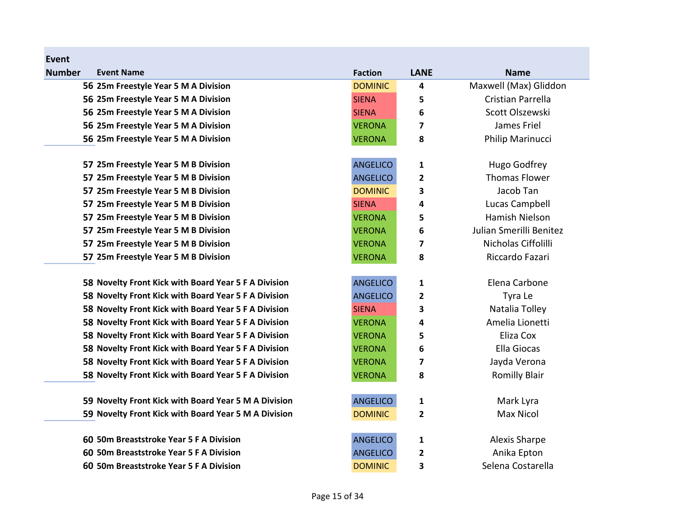| <b>Number</b> | <b>Event Name</b>                                    | <b>Faction</b>  | <b>LANE</b>             | <b>Name</b>             |
|---------------|------------------------------------------------------|-----------------|-------------------------|-------------------------|
|               | 56 25m Freestyle Year 5 M A Division                 | <b>DOMINIC</b>  | 4                       | Maxwell (Max) Gliddon   |
|               | 56 25m Freestyle Year 5 M A Division                 | <b>SIENA</b>    | 5                       | Cristian Parrella       |
|               | 56 25m Freestyle Year 5 M A Division                 | <b>SIENA</b>    | 6                       | Scott Olszewski         |
|               | 56 25m Freestyle Year 5 M A Division                 | <b>VERONA</b>   | 7                       | James Friel             |
|               | 56 25m Freestyle Year 5 M A Division                 | <b>VERONA</b>   | 8                       | Philip Marinucci        |
|               | 57 25m Freestyle Year 5 M B Division                 | <b>ANGELICO</b> | 1                       | Hugo Godfrey            |
|               | 57 25m Freestyle Year 5 M B Division                 | <b>ANGELICO</b> | 2                       | <b>Thomas Flower</b>    |
|               | 57 25m Freestyle Year 5 M B Division                 | <b>DOMINIC</b>  | 3                       | Jacob Tan               |
|               | 57 25m Freestyle Year 5 M B Division                 | <b>SIENA</b>    | 4                       | Lucas Campbell          |
|               | 57 25m Freestyle Year 5 M B Division                 | <b>VERONA</b>   | 5                       | Hamish Nielson          |
|               | 57 25m Freestyle Year 5 M B Division                 | <b>VERONA</b>   | 6                       | Julian Smerilli Benitez |
|               | 57 25m Freestyle Year 5 M B Division                 | <b>VERONA</b>   | 7                       | Nicholas Ciffolilli     |
|               | 57 25m Freestyle Year 5 M B Division                 | <b>VERONA</b>   | 8                       | Riccardo Fazari         |
|               | 58 Novelty Front Kick with Board Year 5 F A Division | <b>ANGELICO</b> | 1                       | Elena Carbone           |
|               | 58 Novelty Front Kick with Board Year 5 F A Division | <b>ANGELICO</b> | 2                       | Tyra Le                 |
|               | 58 Novelty Front Kick with Board Year 5 F A Division | <b>SIENA</b>    | 3                       | Natalia Tolley          |
|               | 58 Novelty Front Kick with Board Year 5 F A Division | <b>VERONA</b>   | 4                       | Amelia Lionetti         |
|               | 58 Novelty Front Kick with Board Year 5 F A Division | <b>VERONA</b>   | 5                       | Eliza Cox               |
|               | 58 Novelty Front Kick with Board Year 5 F A Division | <b>VERONA</b>   | 6                       | <b>Ella Giocas</b>      |
|               | 58 Novelty Front Kick with Board Year 5 F A Division | <b>VERONA</b>   | 7                       | Jayda Verona            |
|               | 58 Novelty Front Kick with Board Year 5 F A Division | <b>VERONA</b>   | 8                       | <b>Romilly Blair</b>    |
|               | 59 Novelty Front Kick with Board Year 5 M A Division | <b>ANGELICO</b> | 1                       | Mark Lyra               |
|               | 59 Novelty Front Kick with Board Year 5 M A Division | <b>DOMINIC</b>  | $\overline{\mathbf{c}}$ | <b>Max Nicol</b>        |
|               | 60 50m Breaststroke Year 5 F A Division              | <b>ANGELICO</b> | 1                       | <b>Alexis Sharpe</b>    |
|               | 60 50m Breaststroke Year 5 F A Division              | <b>ANGELICO</b> | 2                       | Anika Epton             |
|               | 60 50m Breaststroke Year 5 F A Division              | <b>DOMINIC</b>  | 3                       | Selena Costarella       |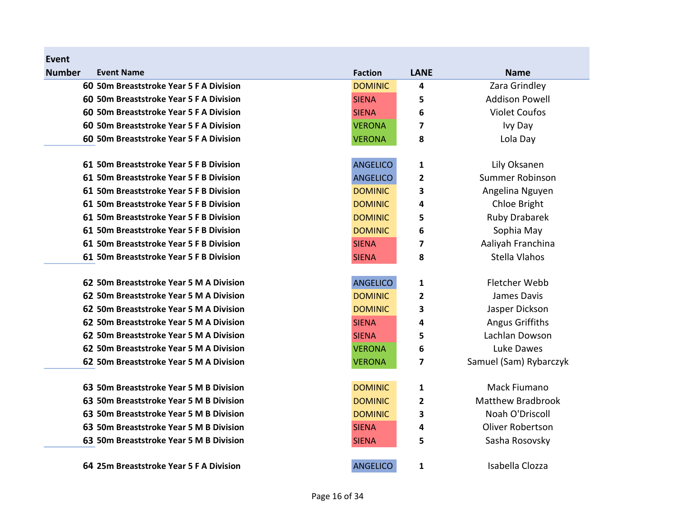| Event         |                                         |                 |                         |                          |
|---------------|-----------------------------------------|-----------------|-------------------------|--------------------------|
| <b>Number</b> | <b>Event Name</b>                       | <b>Faction</b>  | <b>LANE</b>             | <b>Name</b>              |
|               | 60 50m Breaststroke Year 5 F A Division | <b>DOMINIC</b>  | 4                       | Zara Grindley            |
|               | 60 50m Breaststroke Year 5 F A Division | <b>SIENA</b>    | 5                       | <b>Addison Powell</b>    |
|               | 60 50m Breaststroke Year 5 F A Division | <b>SIENA</b>    | 6                       | <b>Violet Coufos</b>     |
|               | 60 50m Breaststroke Year 5 F A Division | <b>VERONA</b>   | 7                       | Ivy Day                  |
|               | 60 50m Breaststroke Year 5 F A Division | <b>VERONA</b>   | 8                       | Lola Day                 |
|               | 61 50m Breaststroke Year 5 F B Division | <b>ANGELICO</b> | 1                       | Lily Oksanen             |
|               | 61 50m Breaststroke Year 5 F B Division | <b>ANGELICO</b> | 2                       | Summer Robinson          |
|               | 61 50m Breaststroke Year 5 F B Division | <b>DOMINIC</b>  | 3                       | Angelina Nguyen          |
|               | 61 50m Breaststroke Year 5 F B Division | <b>DOMINIC</b>  | 4                       | Chloe Bright             |
|               | 61 50m Breaststroke Year 5 F B Division | <b>DOMINIC</b>  | 5                       | <b>Ruby Drabarek</b>     |
|               | 61 50m Breaststroke Year 5 F B Division | <b>DOMINIC</b>  | 6                       | Sophia May               |
|               | 61 50m Breaststroke Year 5 F B Division | <b>SIENA</b>    | $\overline{\mathbf{z}}$ | Aaliyah Franchina        |
|               | 61 50m Breaststroke Year 5 F B Division | <b>SIENA</b>    | 8                       | Stella Vlahos            |
|               | 62 50m Breaststroke Year 5 M A Division | <b>ANGELICO</b> | 1                       | Fletcher Webb            |
|               | 62 50m Breaststroke Year 5 M A Division | <b>DOMINIC</b>  | 2                       | James Davis              |
|               | 62 50m Breaststroke Year 5 M A Division | <b>DOMINIC</b>  | 3                       | Jasper Dickson           |
|               | 62 50m Breaststroke Year 5 M A Division | <b>SIENA</b>    | 4                       | <b>Angus Griffiths</b>   |
|               | 62 50m Breaststroke Year 5 M A Division | <b>SIENA</b>    | 5                       | Lachlan Dowson           |
|               | 62 50m Breaststroke Year 5 M A Division | <b>VERONA</b>   | 6                       | Luke Dawes               |
|               | 62 50m Breaststroke Year 5 M A Division | <b>VERONA</b>   | 7                       | Samuel (Sam) Rybarczyk   |
|               | 63 50m Breaststroke Year 5 M B Division | <b>DOMINIC</b>  | $\mathbf{1}$            | Mack Fiumano             |
|               | 63 50m Breaststroke Year 5 M B Division | <b>DOMINIC</b>  | 2                       | <b>Matthew Bradbrook</b> |
|               | 63 50m Breaststroke Year 5 M B Division | <b>DOMINIC</b>  | 3                       | Noah O'Driscoll          |
|               | 63 50m Breaststroke Year 5 M B Division | <b>SIENA</b>    | 4                       | <b>Oliver Robertson</b>  |
|               | 63 50m Breaststroke Year 5 M B Division | <b>SIENA</b>    | 5                       | Sasha Rosovsky           |
|               | 64 25m Breaststroke Year 5 F A Division | <b>ANGELICO</b> | 1                       | Isabella Clozza          |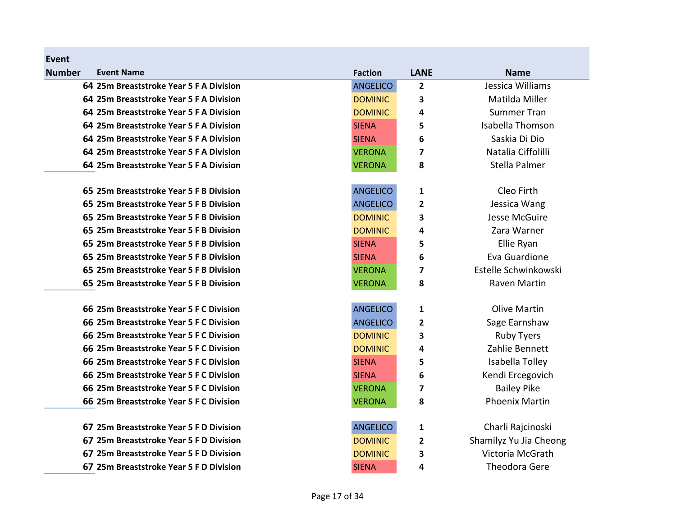| <b>Number</b> | <b>Event Name</b>                       | <b>Faction</b>  | <b>LANE</b> | <b>Name</b>            |
|---------------|-----------------------------------------|-----------------|-------------|------------------------|
|               | 64 25m Breaststroke Year 5 F A Division | <b>ANGELICO</b> | 2           | Jessica Williams       |
|               | 64 25m Breaststroke Year 5 F A Division | <b>DOMINIC</b>  | 3           | Matilda Miller         |
|               | 64 25m Breaststroke Year 5 F A Division | <b>DOMINIC</b>  | 4           | <b>Summer Tran</b>     |
|               | 64 25m Breaststroke Year 5 F A Division | <b>SIENA</b>    | 5           | Isabella Thomson       |
|               | 64 25m Breaststroke Year 5 F A Division | <b>SIENA</b>    | 6           | Saskia Di Dio          |
|               | 64 25m Breaststroke Year 5 F A Division | <b>VERONA</b>   | 7           | Natalia Ciffolilli     |
|               | 64 25m Breaststroke Year 5 F A Division | <b>VERONA</b>   | 8           | Stella Palmer          |
|               | 65 25m Breaststroke Year 5 F B Division | <b>ANGELICO</b> | 1           | Cleo Firth             |
|               | 65 25m Breaststroke Year 5 F B Division | <b>ANGELICO</b> | 2           | Jessica Wang           |
|               | 65 25m Breaststroke Year 5 F B Division | <b>DOMINIC</b>  | 3           | Jesse McGuire          |
|               | 65 25m Breaststroke Year 5 F B Division | <b>DOMINIC</b>  | 4           | Zara Warner            |
|               | 65 25m Breaststroke Year 5 F B Division | <b>SIENA</b>    | 5           | Ellie Ryan             |
|               | 65 25m Breaststroke Year 5 F B Division | <b>SIENA</b>    | 6           | Eva Guardione          |
|               | 65 25m Breaststroke Year 5 F B Division | <b>VERONA</b>   | 7           | Estelle Schwinkowski   |
|               | 65 25m Breaststroke Year 5 F B Division | <b>VERONA</b>   | 8           | Raven Martin           |
|               | 66 25m Breaststroke Year 5 F C Division | <b>ANGELICO</b> | 1           | <b>Olive Martin</b>    |
|               | 66 25m Breaststroke Year 5 F C Division | <b>ANGELICO</b> | 2           | Sage Earnshaw          |
|               | 66 25m Breaststroke Year 5 F C Division | <b>DOMINIC</b>  | 3           | <b>Ruby Tyers</b>      |
|               | 66 25m Breaststroke Year 5 F C Division | <b>DOMINIC</b>  | 4           | Zahlie Bennett         |
|               | 66 25m Breaststroke Year 5 F C Division | <b>SIENA</b>    | 5           | Isabella Tolley        |
|               | 66 25m Breaststroke Year 5 F C Division | <b>SIENA</b>    | 6           | Kendi Ercegovich       |
|               | 66 25m Breaststroke Year 5 F C Division | <b>VERONA</b>   | 7           | <b>Bailey Pike</b>     |
|               | 66 25m Breaststroke Year 5 F C Division | <b>VERONA</b>   | 8           | <b>Phoenix Martin</b>  |
|               | 67 25m Breaststroke Year 5 F D Division | <b>ANGELICO</b> | 1           | Charli Rajcinoski      |
|               | 67 25m Breaststroke Year 5 F D Division | <b>DOMINIC</b>  | 2           | Shamilyz Yu Jia Cheong |
|               | 67 25m Breaststroke Year 5 F D Division | <b>DOMINIC</b>  | 3           | Victoria McGrath       |
|               | 67 25m Breaststroke Year 5 F D Division | <b>SIENA</b>    | 4           | <b>Theodora Gere</b>   |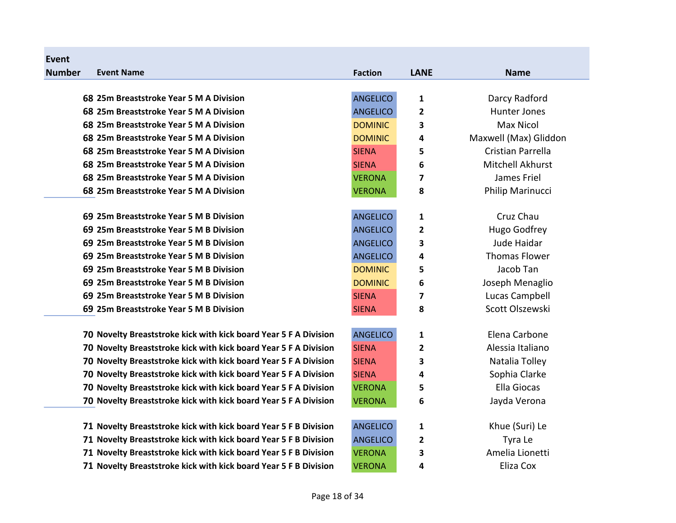| <b>Event</b>  |                                                                  |                 |             |                         |
|---------------|------------------------------------------------------------------|-----------------|-------------|-------------------------|
| <b>Number</b> | <b>Event Name</b>                                                | <b>Faction</b>  | <b>LANE</b> | <b>Name</b>             |
|               |                                                                  |                 |             |                         |
|               | 68 25m Breaststroke Year 5 M A Division                          | <b>ANGELICO</b> | 1           | Darcy Radford           |
|               | 68 25m Breaststroke Year 5 M A Division                          | <b>ANGELICO</b> | 2           | <b>Hunter Jones</b>     |
|               | 68 25m Breaststroke Year 5 M A Division                          | <b>DOMINIC</b>  | 3           | <b>Max Nicol</b>        |
|               | 68 25m Breaststroke Year 5 M A Division                          | <b>DOMINIC</b>  | 4           | Maxwell (Max) Gliddon   |
|               | 68 25m Breaststroke Year 5 M A Division                          | <b>SIENA</b>    | 5           | Cristian Parrella       |
|               | 68 25m Breaststroke Year 5 M A Division                          | <b>SIENA</b>    | 6           | <b>Mitchell Akhurst</b> |
|               | 68 25m Breaststroke Year 5 M A Division                          | <b>VERONA</b>   | 7           | James Friel             |
|               | 68 25m Breaststroke Year 5 M A Division                          | <b>VERONA</b>   | 8           | Philip Marinucci        |
|               | 69 25m Breaststroke Year 5 M B Division                          | <b>ANGELICO</b> | 1           | Cruz Chau               |
|               | 69 25m Breaststroke Year 5 M B Division                          | <b>ANGELICO</b> | 2           | <b>Hugo Godfrey</b>     |
|               | 69 25m Breaststroke Year 5 M B Division                          | <b>ANGELICO</b> | 3           | Jude Haidar             |
|               | 69 25m Breaststroke Year 5 M B Division                          | <b>ANGELICO</b> | 4           | <b>Thomas Flower</b>    |
|               | 69 25m Breaststroke Year 5 M B Division                          | <b>DOMINIC</b>  | 5           | Jacob Tan               |
|               | 69 25m Breaststroke Year 5 M B Division                          | <b>DOMINIC</b>  | 6           | Joseph Menaglio         |
|               | 69 25m Breaststroke Year 5 M B Division                          | <b>SIENA</b>    | 7           | Lucas Campbell          |
|               | 69 25m Breaststroke Year 5 M B Division                          | <b>SIENA</b>    | 8           | Scott Olszewski         |
|               | 70 Novelty Breaststroke kick with kick board Year 5 F A Division | <b>ANGELICO</b> | 1           | Elena Carbone           |
|               | 70 Novelty Breaststroke kick with kick board Year 5 F A Division | <b>SIENA</b>    | 2           | Alessia Italiano        |
|               | 70 Novelty Breaststroke kick with kick board Year 5 F A Division | <b>SIENA</b>    | 3           | Natalia Tolley          |
|               | 70 Novelty Breaststroke kick with kick board Year 5 F A Division | <b>SIENA</b>    | 4           | Sophia Clarke           |
|               | 70 Novelty Breaststroke kick with kick board Year 5 F A Division | <b>VERONA</b>   | 5           | <b>Ella Giocas</b>      |
|               | 70 Novelty Breaststroke kick with kick board Year 5 F A Division | <b>VERONA</b>   | 6           | Jayda Verona            |
|               |                                                                  |                 |             |                         |
|               | 71 Novelty Breaststroke kick with kick board Year 5 F B Division | <b>ANGELICO</b> | 1           | Khue (Suri) Le          |
|               | 71 Novelty Breaststroke kick with kick board Year 5 F B Division | <b>ANGELICO</b> | 2           | Tyra Le                 |
|               | 71 Novelty Breaststroke kick with kick board Year 5 F B Division | <b>VERONA</b>   | 3           | Amelia Lionetti         |
|               | 71 Novelty Breaststroke kick with kick board Year 5 F B Division | <b>VERONA</b>   | 4           | Eliza Cox               |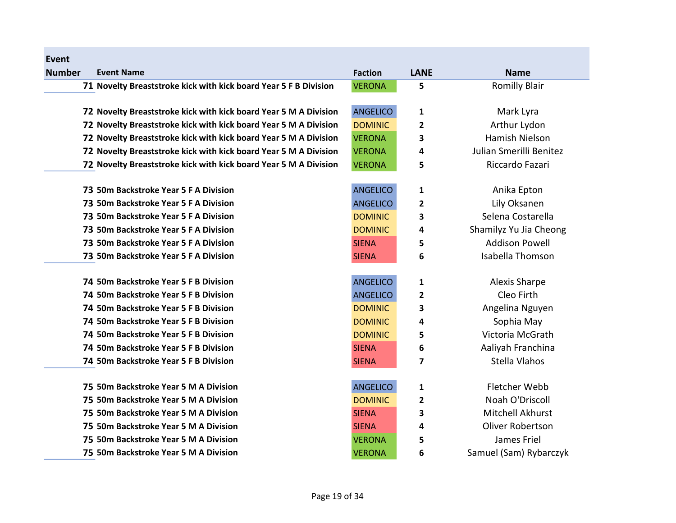| Event         |                                                                  |                 |                         |                         |
|---------------|------------------------------------------------------------------|-----------------|-------------------------|-------------------------|
| <b>Number</b> | <b>Event Name</b>                                                | <b>Faction</b>  | <b>LANE</b>             | <b>Name</b>             |
|               | 71 Novelty Breaststroke kick with kick board Year 5 F B Division | <b>VERONA</b>   | 5                       | <b>Romilly Blair</b>    |
|               |                                                                  |                 |                         |                         |
|               | 72 Novelty Breaststroke kick with kick board Year 5 M A Division | <b>ANGELICO</b> | 1                       | Mark Lyra               |
|               | 72 Novelty Breaststroke kick with kick board Year 5 M A Division | <b>DOMINIC</b>  | $\overline{2}$          | Arthur Lydon            |
|               | 72 Novelty Breaststroke kick with kick board Year 5 M A Division | <b>VERONA</b>   | 3                       | Hamish Nielson          |
|               | 72 Novelty Breaststroke kick with kick board Year 5 M A Division | <b>VERONA</b>   | 4                       | Julian Smerilli Benitez |
|               | 72 Novelty Breaststroke kick with kick board Year 5 M A Division | <b>VERONA</b>   | 5                       | Riccardo Fazari         |
|               | 73 50m Backstroke Year 5 F A Division                            | <b>ANGELICO</b> | 1                       | Anika Epton             |
|               | 73 50m Backstroke Year 5 F A Division                            | <b>ANGELICO</b> | $\overline{2}$          | Lily Oksanen            |
|               | 73 50m Backstroke Year 5 F A Division                            | <b>DOMINIC</b>  | 3                       | Selena Costarella       |
|               | 73 50m Backstroke Year 5 F A Division                            | <b>DOMINIC</b>  | 4                       | Shamilyz Yu Jia Cheong  |
|               | 73 50m Backstroke Year 5 F A Division                            | <b>SIENA</b>    | 5                       | <b>Addison Powell</b>   |
|               | 73 50m Backstroke Year 5 F A Division                            | <b>SIENA</b>    | 6                       | Isabella Thomson        |
|               |                                                                  |                 |                         |                         |
|               | 74 50m Backstroke Year 5 F B Division                            | <b>ANGELICO</b> | 1                       | Alexis Sharpe           |
|               | 74 50m Backstroke Year 5 F B Division                            | <b>ANGELICO</b> | $\overline{2}$          | Cleo Firth              |
|               | 74 50m Backstroke Year 5 F B Division                            | <b>DOMINIC</b>  | 3                       | Angelina Nguyen         |
|               | 74 50m Backstroke Year 5 F B Division                            | <b>DOMINIC</b>  | 4                       | Sophia May              |
|               | 74 50m Backstroke Year 5 F B Division                            | <b>DOMINIC</b>  | 5                       | Victoria McGrath        |
|               | 74 50m Backstroke Year 5 F B Division                            | <b>SIENA</b>    | 6                       | Aaliyah Franchina       |
|               | 74 50m Backstroke Year 5 F B Division                            | <b>SIENA</b>    | $\overline{\mathbf{z}}$ | Stella Vlahos           |
|               | 75 50m Backstroke Year 5 M A Division                            | <b>ANGELICO</b> | 1                       | Fletcher Webb           |
|               | 75 50m Backstroke Year 5 M A Division                            | <b>DOMINIC</b>  | $\overline{\mathbf{2}}$ | Noah O'Driscoll         |
|               | 75 50m Backstroke Year 5 M A Division                            | <b>SIENA</b>    | 3                       | Mitchell Akhurst        |
|               | 75 50m Backstroke Year 5 M A Division                            | <b>SIENA</b>    | 4                       | <b>Oliver Robertson</b> |
|               | 75 50m Backstroke Year 5 M A Division                            | <b>VERONA</b>   |                         | James Friel             |
|               | 75 50m Backstroke Year 5 M A Division                            |                 | 5                       |                         |
|               |                                                                  | <b>VERONA</b>   | 6                       | Samuel (Sam) Rybarczyk  |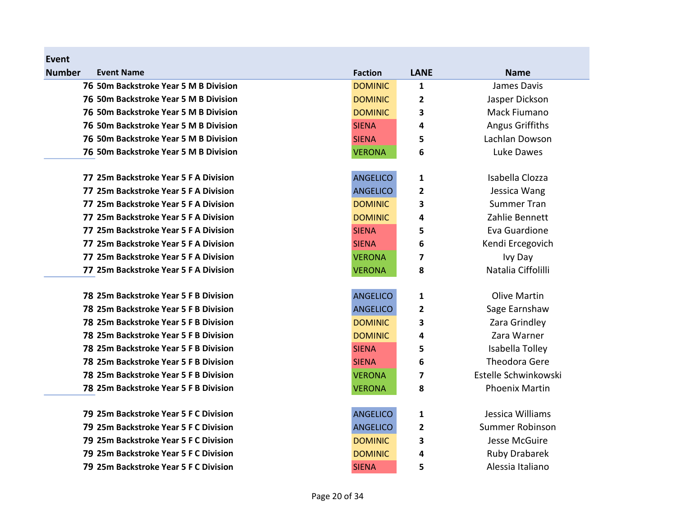| <b>Event</b>  |                                       |                 |                         |                        |
|---------------|---------------------------------------|-----------------|-------------------------|------------------------|
| <b>Number</b> | <b>Event Name</b>                     | <b>Faction</b>  | <b>LANE</b>             | <b>Name</b>            |
|               | 76 50m Backstroke Year 5 M B Division | <b>DOMINIC</b>  | $\mathbf{1}$            | James Davis            |
|               | 76 50m Backstroke Year 5 M B Division | <b>DOMINIC</b>  | 2                       | Jasper Dickson         |
|               | 76 50m Backstroke Year 5 M B Division | <b>DOMINIC</b>  | 3                       | Mack Fiumano           |
|               | 76 50m Backstroke Year 5 M B Division | <b>SIENA</b>    | 4                       | <b>Angus Griffiths</b> |
|               | 76 50m Backstroke Year 5 M B Division | <b>SIENA</b>    | 5                       | Lachlan Dowson         |
|               | 76 50m Backstroke Year 5 M B Division | <b>VERONA</b>   | 6                       | Luke Dawes             |
|               | 77 25m Backstroke Year 5 F A Division | <b>ANGELICO</b> | 1                       | Isabella Clozza        |
|               | 77 25m Backstroke Year 5 F A Division | <b>ANGELICO</b> | $\overline{2}$          | Jessica Wang           |
|               | 77 25m Backstroke Year 5 F A Division | <b>DOMINIC</b>  | 3                       | <b>Summer Tran</b>     |
|               | 77 25m Backstroke Year 5 F A Division | <b>DOMINIC</b>  | 4                       | Zahlie Bennett         |
|               | 77 25m Backstroke Year 5 F A Division | <b>SIENA</b>    | 5                       | Eva Guardione          |
|               | 77 25m Backstroke Year 5 F A Division | <b>SIENA</b>    | 6                       | Kendi Ercegovich       |
|               | 77 25m Backstroke Year 5 F A Division | <b>VERONA</b>   | $\overline{\mathbf{z}}$ | Ivy Day                |
|               | 77 25m Backstroke Year 5 F A Division | <b>VERONA</b>   | 8                       | Natalia Ciffolilli     |
|               | 78 25m Backstroke Year 5 F B Division | <b>ANGELICO</b> | 1                       | <b>Olive Martin</b>    |
|               | 78 25m Backstroke Year 5 F B Division | <b>ANGELICO</b> | 2                       | Sage Earnshaw          |
|               | 78 25m Backstroke Year 5 F B Division | <b>DOMINIC</b>  | 3                       | Zara Grindley          |
|               | 78 25m Backstroke Year 5 F B Division | <b>DOMINIC</b>  | 4                       | Zara Warner            |
|               | 78 25m Backstroke Year 5 F B Division | <b>SIENA</b>    | 5                       | Isabella Tolley        |
|               | 78 25m Backstroke Year 5 F B Division | <b>SIENA</b>    | 6                       | Theodora Gere          |
|               | 78 25m Backstroke Year 5 F B Division | <b>VERONA</b>   | 7                       | Estelle Schwinkowski   |
|               | 78 25m Backstroke Year 5 F B Division | <b>VERONA</b>   | 8                       | <b>Phoenix Martin</b>  |
|               | 79 25m Backstroke Year 5 F C Division | <b>ANGELICO</b> | 1                       | Jessica Williams       |
|               | 79 25m Backstroke Year 5 F C Division | <b>ANGELICO</b> | $\overline{\mathbf{2}}$ | Summer Robinson        |
|               | 79 25m Backstroke Year 5 F C Division | <b>DOMINIC</b>  | 3                       | <b>Jesse McGuire</b>   |
|               | 79 25m Backstroke Year 5 F C Division | <b>DOMINIC</b>  | 4                       | <b>Ruby Drabarek</b>   |
|               | 79 25m Backstroke Year 5 F C Division | <b>SIENA</b>    | 5                       | Alessia Italiano       |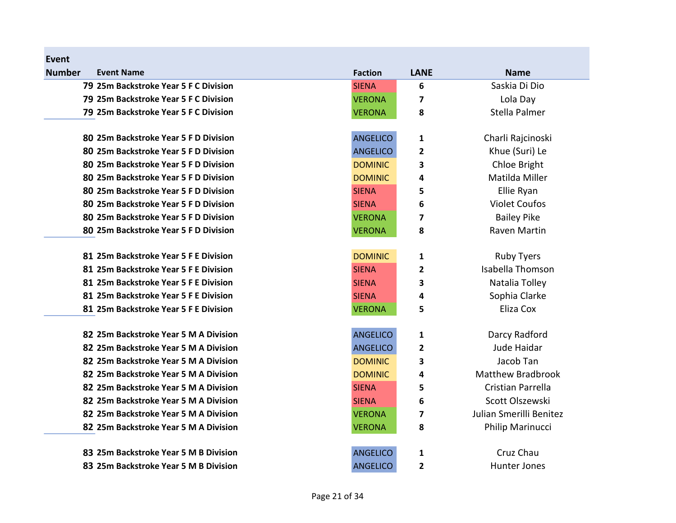| Event         |                                       |                 |                         |                          |
|---------------|---------------------------------------|-----------------|-------------------------|--------------------------|
| <b>Number</b> | <b>Event Name</b>                     | <b>Faction</b>  | <b>LANE</b>             | <b>Name</b>              |
|               | 79 25m Backstroke Year 5 F C Division | <b>SIENA</b>    | 6                       | Saskia Di Dio            |
|               | 79 25m Backstroke Year 5 F C Division | <b>VERONA</b>   | 7                       | Lola Day                 |
|               | 79 25m Backstroke Year 5 F C Division | <b>VERONA</b>   | 8                       | Stella Palmer            |
|               | 80 25m Backstroke Year 5 F D Division | <b>ANGELICO</b> | 1                       | Charli Rajcinoski        |
|               | 80 25m Backstroke Year 5 F D Division | <b>ANGELICO</b> | $\mathbf{2}$            | Khue (Suri) Le           |
|               | 80 25m Backstroke Year 5 F D Division | <b>DOMINIC</b>  | 3                       | Chloe Bright             |
|               | 80 25m Backstroke Year 5 F D Division | <b>DOMINIC</b>  | 4                       | Matilda Miller           |
|               | 80 25m Backstroke Year 5 F D Division | <b>SIENA</b>    | 5                       | Ellie Ryan               |
|               | 80 25m Backstroke Year 5 F D Division | <b>SIENA</b>    | 6                       | <b>Violet Coufos</b>     |
|               | 80 25m Backstroke Year 5 F D Division | <b>VERONA</b>   | $\overline{\mathbf{z}}$ | <b>Bailey Pike</b>       |
|               | 80 25m Backstroke Year 5 F D Division | <b>VERONA</b>   | 8                       | Raven Martin             |
|               | 81 25m Backstroke Year 5 F E Division | <b>DOMINIC</b>  | 1                       | <b>Ruby Tyers</b>        |
|               | 81 25m Backstroke Year 5 F E Division | <b>SIENA</b>    | $\mathbf{2}$            | Isabella Thomson         |
|               | 81 25m Backstroke Year 5 F E Division | <b>SIENA</b>    | 3                       | Natalia Tolley           |
|               | 81 25m Backstroke Year 5 F E Division | <b>SIENA</b>    | 4                       | Sophia Clarke            |
|               | 81 25m Backstroke Year 5 F E Division | <b>VERONA</b>   | 5                       | Eliza Cox                |
|               | 82 25m Backstroke Year 5 M A Division | <b>ANGELICO</b> | 1                       | Darcy Radford            |
|               | 82 25m Backstroke Year 5 M A Division | <b>ANGELICO</b> | $\mathbf{2}$            | Jude Haidar              |
|               | 82 25m Backstroke Year 5 M A Division | <b>DOMINIC</b>  | 3                       | Jacob Tan                |
|               | 82 25m Backstroke Year 5 M A Division | <b>DOMINIC</b>  | 4                       | <b>Matthew Bradbrook</b> |
|               | 82 25m Backstroke Year 5 M A Division | <b>SIENA</b>    | 5                       | Cristian Parrella        |
|               | 82 25m Backstroke Year 5 M A Division | <b>SIENA</b>    | 6                       | Scott Olszewski          |
|               | 82 25m Backstroke Year 5 M A Division | <b>VERONA</b>   | 7                       | Julian Smerilli Benitez  |
|               | 82 25m Backstroke Year 5 M A Division | <b>VERONA</b>   | 8                       | Philip Marinucci         |
|               | 83 25m Backstroke Year 5 M B Division | <b>ANGELICO</b> | 1                       | Cruz Chau                |
|               | 83 25m Backstroke Year 5 M B Division | <b>ANGELICO</b> | $\overline{2}$          | <b>Hunter Jones</b>      |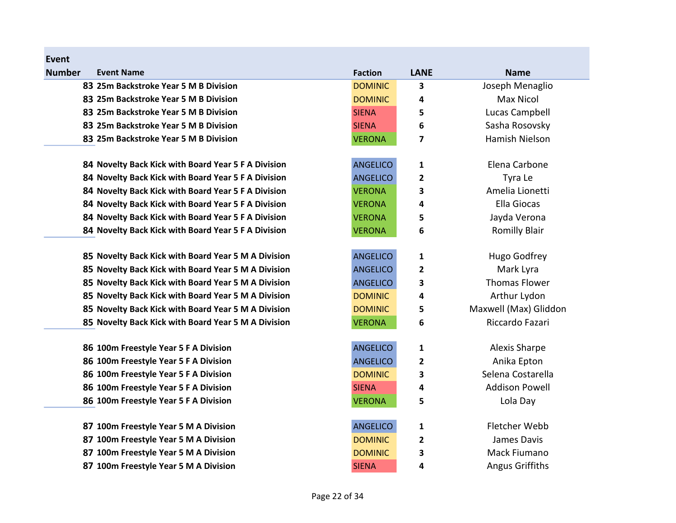| <b>Event</b>  |                                                     |                 |                |                       |
|---------------|-----------------------------------------------------|-----------------|----------------|-----------------------|
| <b>Number</b> | <b>Event Name</b>                                   | <b>Faction</b>  | <b>LANE</b>    | <b>Name</b>           |
|               | 83 25m Backstroke Year 5 M B Division               | <b>DOMINIC</b>  | 3              | Joseph Menaglio       |
|               | 83 25m Backstroke Year 5 M B Division               | <b>DOMINIC</b>  | 4              | <b>Max Nicol</b>      |
|               | 83 25m Backstroke Year 5 M B Division               | <b>SIENA</b>    | 5              | Lucas Campbell        |
|               | 83 25m Backstroke Year 5 M B Division               | <b>SIENA</b>    | 6              | Sasha Rosovsky        |
|               | 83 25m Backstroke Year 5 M B Division               | <b>VERONA</b>   | 7              | Hamish Nielson        |
|               | 84 Novelty Back Kick with Board Year 5 F A Division | <b>ANGELICO</b> | 1              | Elena Carbone         |
|               | 84 Novelty Back Kick with Board Year 5 F A Division | <b>ANGELICO</b> | $\overline{2}$ | Tyra Le               |
|               | 84 Novelty Back Kick with Board Year 5 F A Division | <b>VERONA</b>   | 3              | Amelia Lionetti       |
|               | 84 Novelty Back Kick with Board Year 5 F A Division | <b>VERONA</b>   | 4              | <b>Ella Giocas</b>    |
|               | 84 Novelty Back Kick with Board Year 5 F A Division | <b>VERONA</b>   | 5              | Jayda Verona          |
|               | 84 Novelty Back Kick with Board Year 5 F A Division | <b>VERONA</b>   | 6              | <b>Romilly Blair</b>  |
|               | 85 Novelty Back Kick with Board Year 5 M A Division | <b>ANGELICO</b> | 1              | Hugo Godfrey          |
|               | 85 Novelty Back Kick with Board Year 5 M A Division | <b>ANGELICO</b> | 2              | Mark Lyra             |
|               | 85 Novelty Back Kick with Board Year 5 M A Division | <b>ANGELICO</b> | 3              | <b>Thomas Flower</b>  |
|               | 85 Novelty Back Kick with Board Year 5 M A Division | <b>DOMINIC</b>  | 4              | Arthur Lydon          |
|               | 85 Novelty Back Kick with Board Year 5 M A Division | <b>DOMINIC</b>  | 5              | Maxwell (Max) Gliddon |
|               | 85 Novelty Back Kick with Board Year 5 M A Division | <b>VERONA</b>   | 6              | Riccardo Fazari       |
|               | 86 100m Freestyle Year 5 F A Division               | <b>ANGELICO</b> | $\mathbf{1}$   | <b>Alexis Sharpe</b>  |
|               | 86 100m Freestyle Year 5 F A Division               | <b>ANGELICO</b> | 2              | Anika Epton           |
|               | 86 100m Freestyle Year 5 F A Division               | <b>DOMINIC</b>  | 3              | Selena Costarella     |
|               | 86 100m Freestyle Year 5 F A Division               | <b>SIENA</b>    | 4              | <b>Addison Powell</b> |
|               | 86 100m Freestyle Year 5 F A Division               | <b>VERONA</b>   | 5              | Lola Day              |
|               | 87 100m Freestyle Year 5 M A Division               | <b>ANGELICO</b> | 1              | Fletcher Webb         |
|               | 87 100m Freestyle Year 5 M A Division               | <b>DOMINIC</b>  | $\overline{2}$ | James Davis           |
|               | 87 100m Freestyle Year 5 M A Division               | <b>DOMINIC</b>  | 3              | Mack Fiumano          |
|               | 87 100m Freestyle Year 5 M A Division               | <b>SIENA</b>    | 4              | Angus Griffiths       |
|               |                                                     |                 |                |                       |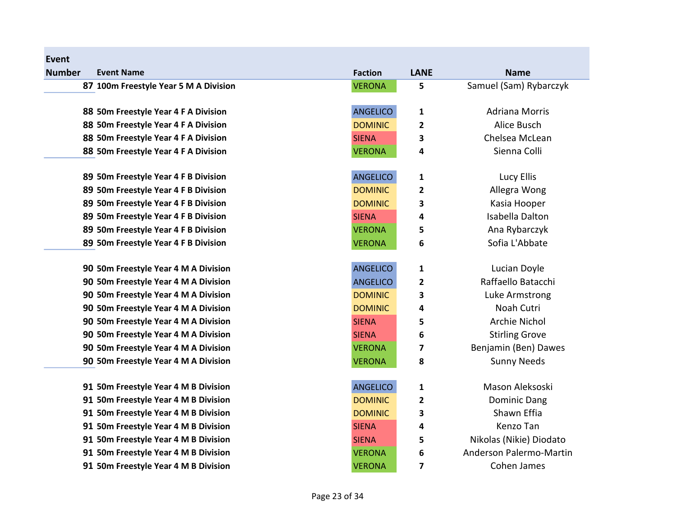| Event         |                                       |                 |                         |                         |
|---------------|---------------------------------------|-----------------|-------------------------|-------------------------|
| <b>Number</b> | <b>Event Name</b>                     | <b>Faction</b>  | <b>LANE</b>             | <b>Name</b>             |
|               | 87 100m Freestyle Year 5 M A Division | <b>VERONA</b>   | 5                       | Samuel (Sam) Rybarczyk  |
|               | 88 50m Freestyle Year 4 F A Division  | <b>ANGELICO</b> | $\mathbf{1}$            | <b>Adriana Morris</b>   |
|               | 88 50m Freestyle Year 4 F A Division  | <b>DOMINIC</b>  |                         | Alice Busch             |
|               |                                       |                 | $\overline{\mathbf{c}}$ |                         |
|               | 88 50m Freestyle Year 4 F A Division  | <b>SIENA</b>    | 3                       | Chelsea McLean          |
|               | 88 50m Freestyle Year 4 F A Division  | <b>VERONA</b>   | 4                       | Sienna Colli            |
|               | 89 50m Freestyle Year 4 F B Division  | <b>ANGELICO</b> | 1                       | Lucy Ellis              |
|               | 89 50m Freestyle Year 4 F B Division  | <b>DOMINIC</b>  | 2                       | Allegra Wong            |
|               | 89 50m Freestyle Year 4 F B Division  | <b>DOMINIC</b>  | 3                       | Kasia Hooper            |
|               | 89 50m Freestyle Year 4 F B Division  | <b>SIENA</b>    | 4                       | Isabella Dalton         |
|               | 89 50m Freestyle Year 4 F B Division  | <b>VERONA</b>   | 5                       | Ana Rybarczyk           |
|               | 89 50m Freestyle Year 4 F B Division  | <b>VERONA</b>   | 6                       | Sofia L'Abbate          |
|               | 90 50m Freestyle Year 4 M A Division  | <b>ANGELICO</b> | $\mathbf{1}$            | Lucian Doyle            |
|               | 90 50m Freestyle Year 4 M A Division  | <b>ANGELICO</b> | 2                       | Raffaello Batacchi      |
|               | 90 50m Freestyle Year 4 M A Division  | <b>DOMINIC</b>  | 3                       | Luke Armstrong          |
|               | 90 50m Freestyle Year 4 M A Division  | <b>DOMINIC</b>  | 4                       | Noah Cutri              |
|               | 90 50m Freestyle Year 4 M A Division  | <b>SIENA</b>    | 5                       | Archie Nichol           |
|               | 90 50m Freestyle Year 4 M A Division  | <b>SIENA</b>    | 6                       | <b>Stirling Grove</b>   |
|               | 90 50m Freestyle Year 4 M A Division  | <b>VERONA</b>   | 7                       | Benjamin (Ben) Dawes    |
|               | 90 50m Freestyle Year 4 M A Division  | <b>VERONA</b>   | 8                       | <b>Sunny Needs</b>      |
|               | 91 50m Freestyle Year 4 M B Division  | <b>ANGELICO</b> | $\mathbf{1}$            | Mason Aleksoski         |
|               | 91 50m Freestyle Year 4 M B Division  | <b>DOMINIC</b>  | $\overline{\mathbf{2}}$ | <b>Dominic Dang</b>     |
|               | 91 50m Freestyle Year 4 M B Division  | <b>DOMINIC</b>  | 3                       | Shawn Effia             |
|               | 91 50m Freestyle Year 4 M B Division  | <b>SIENA</b>    | 4                       | Kenzo Tan               |
|               | 91 50m Freestyle Year 4 M B Division  | <b>SIENA</b>    | 5                       | Nikolas (Nikie) Diodato |
|               | 91 50m Freestyle Year 4 M B Division  | <b>VERONA</b>   | 6                       | Anderson Palermo-Martin |
|               | 91 50m Freestyle Year 4 M B Division  | <b>VERONA</b>   | 7                       | Cohen James             |
|               |                                       |                 |                         |                         |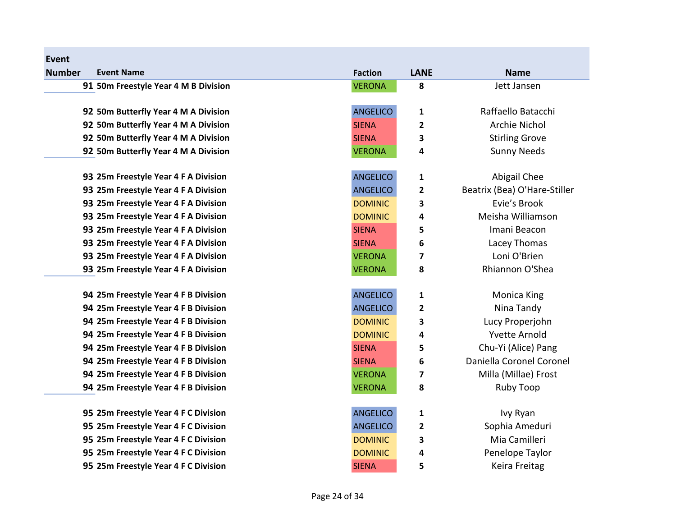| <b>Event</b>  |                                      |                 |                         |                              |
|---------------|--------------------------------------|-----------------|-------------------------|------------------------------|
| <b>Number</b> | <b>Event Name</b>                    | <b>Faction</b>  | <b>LANE</b>             | <b>Name</b>                  |
|               | 91 50m Freestyle Year 4 M B Division | <b>VERONA</b>   | 8                       | Jett Jansen                  |
|               |                                      |                 |                         |                              |
|               | 92 50m Butterfly Year 4 M A Division | <b>ANGELICO</b> | $\mathbf 1$             | Raffaello Batacchi           |
|               | 92 50m Butterfly Year 4 M A Division | <b>SIENA</b>    | $\overline{\mathbf{2}}$ | <b>Archie Nichol</b>         |
|               | 92 50m Butterfly Year 4 M A Division | <b>SIENA</b>    | 3                       | <b>Stirling Grove</b>        |
|               | 92 50m Butterfly Year 4 M A Division | <b>VERONA</b>   | 4                       | <b>Sunny Needs</b>           |
|               |                                      |                 |                         |                              |
|               | 93 25m Freestyle Year 4 F A Division | <b>ANGELICO</b> | $\mathbf 1$             | Abigail Chee                 |
|               | 93 25m Freestyle Year 4 F A Division | <b>ANGELICO</b> | $\overline{2}$          | Beatrix (Bea) O'Hare-Stiller |
|               | 93 25m Freestyle Year 4 F A Division | <b>DOMINIC</b>  | 3                       | Evie's Brook                 |
|               | 93 25m Freestyle Year 4 F A Division | <b>DOMINIC</b>  | 4                       | Meisha Williamson            |
|               | 93 25m Freestyle Year 4 F A Division | <b>SIENA</b>    | 5                       | Imani Beacon                 |
|               | 93 25m Freestyle Year 4 F A Division | <b>SIENA</b>    | 6                       | Lacey Thomas                 |
|               | 93 25m Freestyle Year 4 F A Division | <b>VERONA</b>   | $\overline{\mathbf{z}}$ | Loni O'Brien                 |
|               | 93 25m Freestyle Year 4 F A Division | <b>VERONA</b>   | 8                       | Rhiannon O'Shea              |
|               | 94 25m Freestyle Year 4 F B Division | <b>ANGELICO</b> | 1                       | <b>Monica King</b>           |
|               | 94 25m Freestyle Year 4 F B Division | <b>ANGELICO</b> | $\overline{\mathbf{2}}$ | Nina Tandy                   |
|               | 94 25m Freestyle Year 4 F B Division | <b>DOMINIC</b>  | 3                       | Lucy Properjohn              |
|               | 94 25m Freestyle Year 4 F B Division | <b>DOMINIC</b>  | 4                       | <b>Yvette Arnold</b>         |
|               | 94 25m Freestyle Year 4 F B Division | <b>SIENA</b>    | 5                       | Chu-Yi (Alice) Pang          |
|               | 94 25m Freestyle Year 4 F B Division | <b>SIENA</b>    | 6                       | Daniella Coronel Coronel     |
|               | 94 25m Freestyle Year 4 F B Division | <b>VERONA</b>   | $\overline{\mathbf{z}}$ | Milla (Millae) Frost         |
|               | 94 25m Freestyle Year 4 F B Division | <b>VERONA</b>   | 8                       | <b>Ruby Toop</b>             |
|               |                                      |                 |                         |                              |
|               | 95 25m Freestyle Year 4 F C Division | <b>ANGELICO</b> | $\mathbf 1$             | Ivy Ryan                     |
|               | 95 25m Freestyle Year 4 F C Division | <b>ANGELICO</b> | $\overline{\mathbf{c}}$ | Sophia Ameduri               |
|               | 95 25m Freestyle Year 4 F C Division | <b>DOMINIC</b>  | 3                       | Mia Camilleri                |
|               | 95 25m Freestyle Year 4 F C Division | <b>DOMINIC</b>  | 4                       | Penelope Taylor              |
|               | 95 25m Freestyle Year 4 F C Division | <b>SIENA</b>    | 5                       | Keira Freitag                |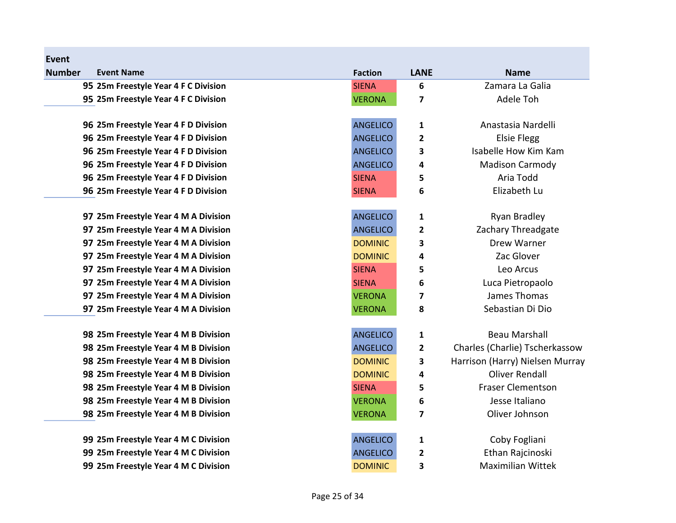| Event         |                                      |                 |                         |                                 |
|---------------|--------------------------------------|-----------------|-------------------------|---------------------------------|
| <b>Number</b> | <b>Event Name</b>                    | <b>Faction</b>  | <b>LANE</b>             | <b>Name</b>                     |
|               | 95 25m Freestyle Year 4 F C Division | <b>SIENA</b>    | 6                       | Zamara La Galia                 |
|               | 95 25m Freestyle Year 4 F C Division | <b>VERONA</b>   | 7                       | Adele Toh                       |
|               |                                      |                 |                         |                                 |
|               | 96 25m Freestyle Year 4 F D Division | <b>ANGELICO</b> | 1                       | Anastasia Nardelli              |
|               | 96 25m Freestyle Year 4 F D Division | <b>ANGELICO</b> | $\overline{2}$          | <b>Elsie Flegg</b>              |
|               | 96 25m Freestyle Year 4 F D Division | <b>ANGELICO</b> | $\overline{\mathbf{3}}$ | Isabelle How Kim Kam            |
|               | 96 25m Freestyle Year 4 F D Division | <b>ANGELICO</b> | 4                       | <b>Madison Carmody</b>          |
|               | 96 25m Freestyle Year 4 F D Division | <b>SIENA</b>    | 5                       | Aria Todd                       |
|               | 96 25m Freestyle Year 4 F D Division | <b>SIENA</b>    | 6                       | Elizabeth Lu                    |
|               |                                      |                 |                         |                                 |
|               | 97 25m Freestyle Year 4 M A Division | <b>ANGELICO</b> | 1                       | Ryan Bradley                    |
|               | 97 25m Freestyle Year 4 M A Division | <b>ANGELICO</b> | 2                       | Zachary Threadgate              |
|               | 97 25m Freestyle Year 4 M A Division | <b>DOMINIC</b>  | 3                       | Drew Warner                     |
|               | 97 25m Freestyle Year 4 M A Division | <b>DOMINIC</b>  | 4                       | Zac Glover                      |
|               | 97 25m Freestyle Year 4 M A Division | <b>SIENA</b>    | 5                       | Leo Arcus                       |
|               | 97 25m Freestyle Year 4 M A Division | <b>SIENA</b>    | 6                       | Luca Pietropaolo                |
|               | 97 25m Freestyle Year 4 M A Division | <b>VERONA</b>   | 7                       | James Thomas                    |
|               | 97 25m Freestyle Year 4 M A Division | <b>VERONA</b>   | 8                       | Sebastian Di Dio                |
|               | 98 25m Freestyle Year 4 M B Division | <b>ANGELICO</b> | 1                       | <b>Beau Marshall</b>            |
|               | 98 25m Freestyle Year 4 M B Division | <b>ANGELICO</b> | $\overline{2}$          | Charles (Charlie) Tscherkassow  |
|               | 98 25m Freestyle Year 4 M B Division | <b>DOMINIC</b>  | 3                       | Harrison (Harry) Nielsen Murray |
|               | 98 25m Freestyle Year 4 M B Division | <b>DOMINIC</b>  | 4                       | <b>Oliver Rendall</b>           |
|               | 98 25m Freestyle Year 4 M B Division | <b>SIENA</b>    | 5                       | <b>Fraser Clementson</b>        |
|               | 98 25m Freestyle Year 4 M B Division | <b>VERONA</b>   | 6                       | Jesse Italiano                  |
|               | 98 25m Freestyle Year 4 M B Division | <b>VERONA</b>   | $\overline{\mathbf{z}}$ | Oliver Johnson                  |
|               | 99 25m Freestyle Year 4 M C Division | <b>ANGELICO</b> | 1                       | Coby Fogliani                   |
|               | 99 25m Freestyle Year 4 M C Division | <b>ANGELICO</b> | $\mathbf{2}$            | Ethan Rajcinoski                |
|               | 99 25m Freestyle Year 4 M C Division | <b>DOMINIC</b>  | 3                       | <b>Maximilian Wittek</b>        |
|               |                                      |                 |                         |                                 |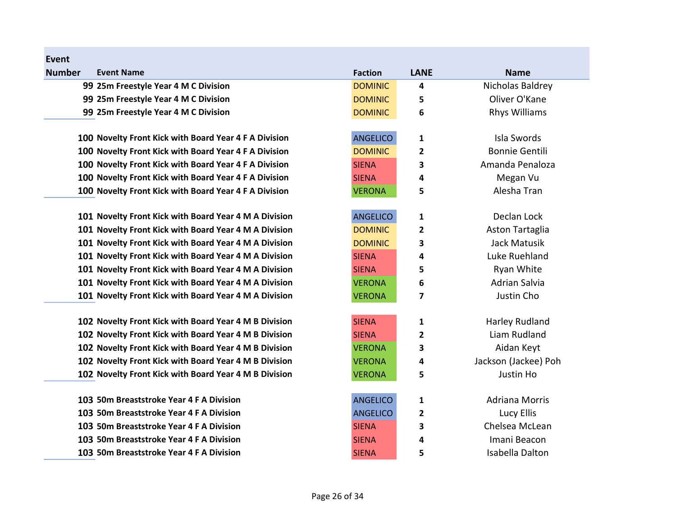| <b>Number</b> | <b>Event Name</b>                                     | <b>Faction</b>  | <b>LANE</b>    | <b>Name</b>           |
|---------------|-------------------------------------------------------|-----------------|----------------|-----------------------|
|               | 99 25m Freestyle Year 4 M C Division                  | <b>DOMINIC</b>  | 4              | Nicholas Baldrey      |
|               | 99 25m Freestyle Year 4 M C Division                  | <b>DOMINIC</b>  | 5              | Oliver O'Kane         |
|               | 99 25m Freestyle Year 4 M C Division                  | <b>DOMINIC</b>  | 6              | <b>Rhys Williams</b>  |
|               | 100 Novelty Front Kick with Board Year 4 F A Division | <b>ANGELICO</b> | 1              | Isla Swords           |
|               | 100 Novelty Front Kick with Board Year 4 F A Division | <b>DOMINIC</b>  | $\overline{2}$ | <b>Bonnie Gentili</b> |
|               | 100 Novelty Front Kick with Board Year 4 F A Division | <b>SIENA</b>    | 3              | Amanda Penaloza       |
|               | 100 Novelty Front Kick with Board Year 4 F A Division | <b>SIENA</b>    | 4              | Megan Vu              |
|               | 100 Novelty Front Kick with Board Year 4 F A Division | <b>VERONA</b>   | 5              | Alesha Tran           |
|               | 101 Novelty Front Kick with Board Year 4 M A Division | <b>ANGELICO</b> | $\mathbf{1}$   | Declan Lock           |
|               | 101 Novelty Front Kick with Board Year 4 M A Division | <b>DOMINIC</b>  | $\mathbf{2}$   | Aston Tartaglia       |
|               | 101 Novelty Front Kick with Board Year 4 M A Division | <b>DOMINIC</b>  | 3              | Jack Matusik          |
|               | 101 Novelty Front Kick with Board Year 4 M A Division | <b>SIENA</b>    | 4              | Luke Ruehland         |
|               | 101 Novelty Front Kick with Board Year 4 M A Division | <b>SIENA</b>    | 5              | <b>Ryan White</b>     |
|               | 101 Novelty Front Kick with Board Year 4 M A Division | <b>VERONA</b>   | 6              | <b>Adrian Salvia</b>  |
|               | 101 Novelty Front Kick with Board Year 4 M A Division | <b>VERONA</b>   | 7              | Justin Cho            |
|               | 102 Novelty Front Kick with Board Year 4 M B Division | <b>SIENA</b>    | 1              | Harley Rudland        |
|               | 102 Novelty Front Kick with Board Year 4 M B Division | <b>SIENA</b>    | $\mathbf{2}$   | Liam Rudland          |
|               | 102 Novelty Front Kick with Board Year 4 M B Division | <b>VERONA</b>   | 3              | Aidan Keyt            |
|               | 102 Novelty Front Kick with Board Year 4 M B Division | <b>VERONA</b>   | 4              | Jackson (Jackee) Poh  |
|               | 102 Novelty Front Kick with Board Year 4 M B Division | <b>VERONA</b>   | 5              | Justin Ho             |
|               | 103 50m Breaststroke Year 4 F A Division              | <b>ANGELICO</b> | 1              | <b>Adriana Morris</b> |
|               | 103 50m Breaststroke Year 4 F A Division              | <b>ANGELICO</b> | $\mathbf{2}$   | Lucy Ellis            |
|               | 103 50m Breaststroke Year 4 F A Division              | <b>SIENA</b>    | 3              | Chelsea McLean        |
|               | 103 50m Breaststroke Year 4 F A Division              | <b>SIENA</b>    | 4              | Imani Beacon          |
|               | 103 50m Breaststroke Year 4 F A Division              | <b>SIENA</b>    | 5              | Isabella Dalton       |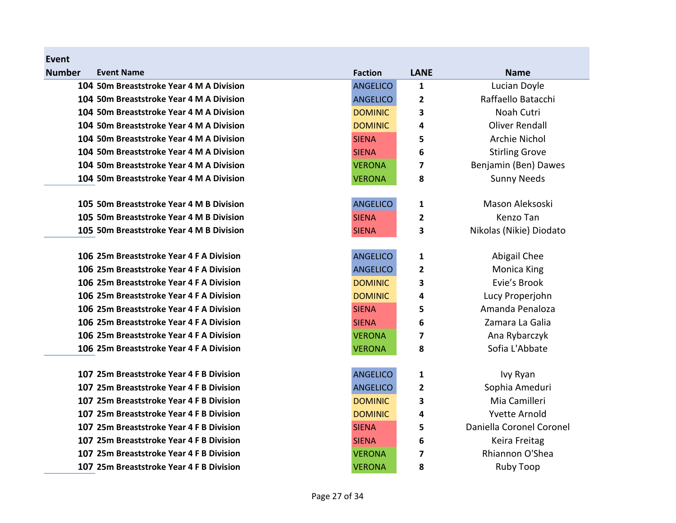| Event<br><b>Number</b> | <b>Event Name</b>                        | <b>Faction</b>  | <b>LANE</b>             | <b>Name</b>              |
|------------------------|------------------------------------------|-----------------|-------------------------|--------------------------|
|                        | 104 50m Breaststroke Year 4 M A Division | <b>ANGELICO</b> | 1                       | Lucian Doyle             |
|                        | 104 50m Breaststroke Year 4 M A Division | <b>ANGELICO</b> | $\overline{2}$          | Raffaello Batacchi       |
|                        | 104 50m Breaststroke Year 4 M A Division | <b>DOMINIC</b>  | 3                       | Noah Cutri               |
|                        | 104 50m Breaststroke Year 4 M A Division | <b>DOMINIC</b>  | 4                       | <b>Oliver Rendall</b>    |
|                        | 104 50m Breaststroke Year 4 M A Division | <b>SIENA</b>    | 5                       | <b>Archie Nichol</b>     |
|                        | 104 50m Breaststroke Year 4 M A Division | <b>SIENA</b>    | 6                       | <b>Stirling Grove</b>    |
|                        | 104 50m Breaststroke Year 4 M A Division | <b>VERONA</b>   | 7                       | Benjamin (Ben) Dawes     |
|                        | 104 50m Breaststroke Year 4 M A Division | <b>VERONA</b>   | 8                       | <b>Sunny Needs</b>       |
|                        |                                          |                 |                         |                          |
|                        | 105 50m Breaststroke Year 4 M B Division | <b>ANGELICO</b> | 1                       | Mason Aleksoski          |
|                        | 105 50m Breaststroke Year 4 M B Division | <b>SIENA</b>    | 2                       | Kenzo Tan                |
|                        | 105 50m Breaststroke Year 4 M B Division | <b>SIENA</b>    | 3                       | Nikolas (Nikie) Diodato  |
|                        | 106 25m Breaststroke Year 4 F A Division | <b>ANGELICO</b> | 1                       | Abigail Chee             |
|                        | 106 25m Breaststroke Year 4 F A Division | <b>ANGELICO</b> | 2                       | <b>Monica King</b>       |
|                        | 106 25m Breaststroke Year 4 F A Division | <b>DOMINIC</b>  | 3                       | Evie's Brook             |
|                        | 106 25m Breaststroke Year 4 F A Division | <b>DOMINIC</b>  | 4                       | Lucy Properjohn          |
|                        | 106 25m Breaststroke Year 4 F A Division | <b>SIENA</b>    | 5                       | Amanda Penaloza          |
|                        | 106 25m Breaststroke Year 4 F A Division | <b>SIENA</b>    | 6                       | Zamara La Galia          |
|                        | 106 25m Breaststroke Year 4 F A Division | <b>VERONA</b>   | 7                       | Ana Rybarczyk            |
|                        | 106 25m Breaststroke Year 4 F A Division | <b>VERONA</b>   | 8                       | Sofia L'Abbate           |
|                        | 107 25m Breaststroke Year 4 F B Division | <b>ANGELICO</b> | 1                       | Ivy Ryan                 |
|                        | 107 25m Breaststroke Year 4 F B Division | <b>ANGELICO</b> | $\overline{\mathbf{2}}$ | Sophia Ameduri           |
|                        | 107 25m Breaststroke Year 4 F B Division | <b>DOMINIC</b>  | 3                       | Mia Camilleri            |
|                        | 107 25m Breaststroke Year 4 F B Division | <b>DOMINIC</b>  | 4                       | <b>Yvette Arnold</b>     |
|                        | 107 25m Breaststroke Year 4 F B Division | <b>SIENA</b>    | 5                       | Daniella Coronel Coronel |
|                        | 107 25m Breaststroke Year 4 F B Division | <b>SIENA</b>    | 6                       | Keira Freitag            |
|                        | 107 25m Breaststroke Year 4 F B Division | <b>VERONA</b>   | 7                       | Rhiannon O'Shea          |

107 25m Breaststroke Year 4 F B Division **Noting the ST And YERONA** 8 Ruby Toop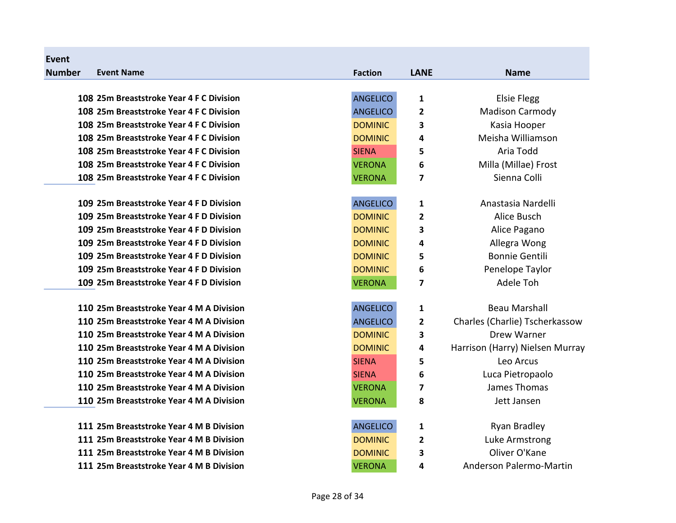| <b>Event</b>  |                                          |                 |                         |                                 |
|---------------|------------------------------------------|-----------------|-------------------------|---------------------------------|
| <b>Number</b> | <b>Event Name</b>                        | <b>Faction</b>  | <b>LANE</b>             | <b>Name</b>                     |
|               |                                          |                 |                         |                                 |
|               | 108 25m Breaststroke Year 4 F C Division | <b>ANGELICO</b> | $\mathbf{1}$            | <b>Elsie Flegg</b>              |
|               | 108 25m Breaststroke Year 4 F C Division | <b>ANGELICO</b> | 2                       | <b>Madison Carmody</b>          |
|               | 108 25m Breaststroke Year 4 F C Division | <b>DOMINIC</b>  | 3                       | Kasia Hooper                    |
|               | 108 25m Breaststroke Year 4 F C Division | <b>DOMINIC</b>  | 4                       | Meisha Williamson               |
|               | 108 25m Breaststroke Year 4 F C Division | <b>SIENA</b>    | 5                       | Aria Todd                       |
|               | 108 25m Breaststroke Year 4 F C Division | <b>VERONA</b>   | 6                       | Milla (Millae) Frost            |
|               | 108 25m Breaststroke Year 4 F C Division | <b>VERONA</b>   | $\overline{\mathbf{z}}$ | Sienna Colli                    |
|               |                                          |                 |                         |                                 |
|               | 109 25m Breaststroke Year 4 F D Division | <b>ANGELICO</b> | 1                       | Anastasia Nardelli              |
|               | 109 25m Breaststroke Year 4 F D Division | <b>DOMINIC</b>  | $\overline{2}$          | Alice Busch                     |
|               | 109 25m Breaststroke Year 4 F D Division | <b>DOMINIC</b>  | 3                       | Alice Pagano                    |
|               | 109 25m Breaststroke Year 4 F D Division | <b>DOMINIC</b>  | 4                       | Allegra Wong                    |
|               | 109 25m Breaststroke Year 4 F D Division | <b>DOMINIC</b>  | 5                       | <b>Bonnie Gentili</b>           |
|               | 109 25m Breaststroke Year 4 F D Division | <b>DOMINIC</b>  | 6                       | Penelope Taylor                 |
|               | 109 25m Breaststroke Year 4 F D Division | <b>VERONA</b>   | $\overline{\mathbf{z}}$ | Adele Toh                       |
|               |                                          |                 |                         |                                 |
|               | 110 25m Breaststroke Year 4 M A Division | <b>ANGELICO</b> | 1                       | <b>Beau Marshall</b>            |
|               | 110 25m Breaststroke Year 4 M A Division | <b>ANGELICO</b> | $\mathbf{2}$            | Charles (Charlie) Tscherkassow  |
|               | 110 25m Breaststroke Year 4 M A Division | <b>DOMINIC</b>  | 3                       | Drew Warner                     |
|               | 110 25m Breaststroke Year 4 M A Division | <b>DOMINIC</b>  | 4                       | Harrison (Harry) Nielsen Murray |
|               | 110 25m Breaststroke Year 4 M A Division | <b>SIENA</b>    | 5                       | Leo Arcus                       |
|               | 110 25m Breaststroke Year 4 M A Division | <b>SIENA</b>    | 6                       | Luca Pietropaolo                |
|               | 110 25m Breaststroke Year 4 M A Division | <b>VERONA</b>   | 7                       | James Thomas                    |
|               | 110 25m Breaststroke Year 4 M A Division | <b>VERONA</b>   | 8                       | Jett Jansen                     |
|               |                                          |                 |                         |                                 |
|               | 111 25m Breaststroke Year 4 M B Division | <b>ANGELICO</b> | 1                       | Ryan Bradley                    |
|               | 111 25m Breaststroke Year 4 M B Division | <b>DOMINIC</b>  | $\overline{2}$          | Luke Armstrong                  |
|               | 111 25m Breaststroke Year 4 M B Division | <b>DOMINIC</b>  | 3                       | Oliver O'Kane                   |
|               | 111 25m Breaststroke Year 4 M B Division | <b>VERONA</b>   | 4                       | Anderson Palermo-Martin         |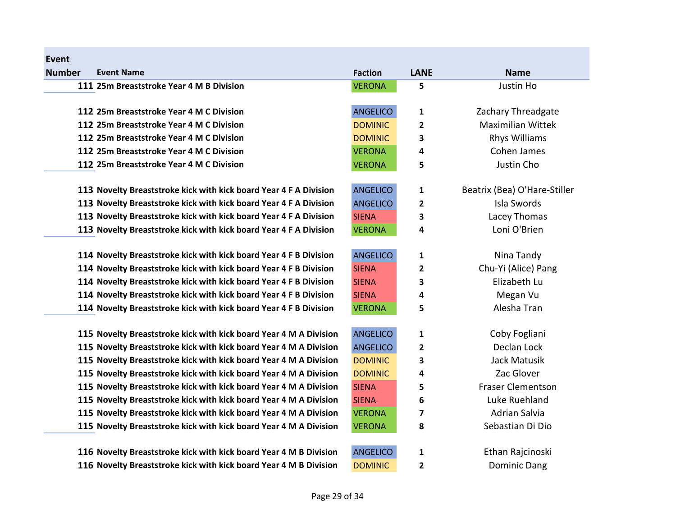| Event         |                                                                   |                 |              |                              |
|---------------|-------------------------------------------------------------------|-----------------|--------------|------------------------------|
| <b>Number</b> | <b>Event Name</b>                                                 | <b>Faction</b>  | <b>LANE</b>  | <b>Name</b>                  |
|               | 111 25m Breaststroke Year 4 M B Division                          | <b>VERONA</b>   | 5            | Justin Ho                    |
|               | 112 25m Breaststroke Year 4 M C Division                          | <b>ANGELICO</b> | 1            | Zachary Threadgate           |
|               | 112 25m Breaststroke Year 4 M C Division                          | <b>DOMINIC</b>  | $\mathbf{2}$ | <b>Maximilian Wittek</b>     |
|               | 112 25m Breaststroke Year 4 M C Division                          | <b>DOMINIC</b>  | 3            | <b>Rhys Williams</b>         |
|               | 112 25m Breaststroke Year 4 M C Division                          | <b>VERONA</b>   | 4            | Cohen James                  |
|               | 112 25m Breaststroke Year 4 M C Division                          | <b>VERONA</b>   | 5            | Justin Cho                   |
|               | 113 Novelty Breaststroke kick with kick board Year 4 F A Division | <b>ANGELICO</b> | 1            | Beatrix (Bea) O'Hare-Stiller |
|               | 113 Novelty Breaststroke kick with kick board Year 4 F A Division | <b>ANGELICO</b> | 2            | Isla Swords                  |
|               | 113 Novelty Breaststroke kick with kick board Year 4 F A Division | <b>SIENA</b>    | 3            | Lacey Thomas                 |
|               | 113 Novelty Breaststroke kick with kick board Year 4 F A Division | <b>VERONA</b>   | 4            | Loni O'Brien                 |
|               | 114 Novelty Breaststroke kick with kick board Year 4 F B Division | <b>ANGELICO</b> | 1            | Nina Tandy                   |
|               | 114 Novelty Breaststroke kick with kick board Year 4 F B Division | <b>SIENA</b>    | 2            | Chu-Yi (Alice) Pang          |
|               | 114 Novelty Breaststroke kick with kick board Year 4 F B Division | <b>SIENA</b>    | 3            | Elizabeth Lu                 |
|               | 114 Novelty Breaststroke kick with kick board Year 4 F B Division | <b>SIENA</b>    | 4            | Megan Vu                     |
|               | 114 Novelty Breaststroke kick with kick board Year 4 F B Division | <b>VERONA</b>   | 5            | Alesha Tran                  |
|               | 115 Novelty Breaststroke kick with kick board Year 4 M A Division | <b>ANGELICO</b> | 1            | Coby Fogliani                |
|               | 115 Novelty Breaststroke kick with kick board Year 4 M A Division | <b>ANGELICO</b> | 2            | Declan Lock                  |
|               | 115 Novelty Breaststroke kick with kick board Year 4 M A Division | <b>DOMINIC</b>  | 3            | Jack Matusik                 |
|               | 115 Novelty Breaststroke kick with kick board Year 4 M A Division | <b>DOMINIC</b>  | 4            | Zac Glover                   |
|               | 115 Novelty Breaststroke kick with kick board Year 4 M A Division | <b>SIENA</b>    | 5            | <b>Fraser Clementson</b>     |
|               | 115 Novelty Breaststroke kick with kick board Year 4 M A Division | <b>SIENA</b>    | 6            | Luke Ruehland                |
|               | 115 Novelty Breaststroke kick with kick board Year 4 M A Division | <b>VERONA</b>   | 7            | Adrian Salvia                |
|               | 115 Novelty Breaststroke kick with kick board Year 4 M A Division | <b>VERONA</b>   | 8            | Sebastian Di Dio             |
|               | 116 Novelty Breaststroke kick with kick board Year 4 M B Division | <b>ANGELICO</b> | 1            | Ethan Rajcinoski             |
|               | 116 Novelty Breaststroke kick with kick board Year 4 M B Division | <b>DOMINIC</b>  | 2            | <b>Dominic Dang</b>          |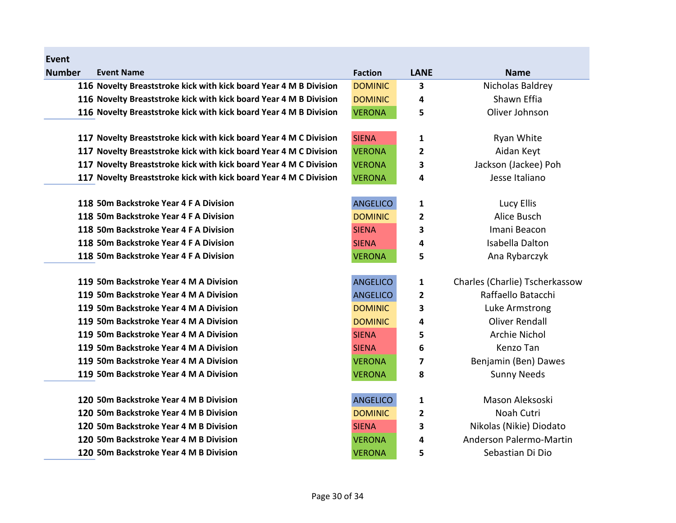| Event         |                                                                   |                 |                |                                |
|---------------|-------------------------------------------------------------------|-----------------|----------------|--------------------------------|
| <b>Number</b> | <b>Event Name</b>                                                 | <b>Faction</b>  | <b>LANE</b>    | <b>Name</b>                    |
|               | 116 Novelty Breaststroke kick with kick board Year 4 M B Division | <b>DOMINIC</b>  | 3              | Nicholas Baldrey               |
|               | 116 Novelty Breaststroke kick with kick board Year 4 M B Division | <b>DOMINIC</b>  | 4              | Shawn Effia                    |
|               | 116 Novelty Breaststroke kick with kick board Year 4 M B Division | <b>VERONA</b>   | 5              | Oliver Johnson                 |
|               | 117 Novelty Breaststroke kick with kick board Year 4 M C Division | <b>SIENA</b>    | 1              | Ryan White                     |
|               | 117 Novelty Breaststroke kick with kick board Year 4 M C Division | <b>VERONA</b>   | $\overline{2}$ | Aidan Keyt                     |
|               | 117 Novelty Breaststroke kick with kick board Year 4 M C Division | <b>VERONA</b>   | 3              | Jackson (Jackee) Poh           |
|               | 117 Novelty Breaststroke kick with kick board Year 4 M C Division | <b>VERONA</b>   | 4              | Jesse Italiano                 |
|               | 118 50m Backstroke Year 4 F A Division                            | <b>ANGELICO</b> | 1              | Lucy Ellis                     |
|               | 118 50m Backstroke Year 4 F A Division                            | <b>DOMINIC</b>  | $\overline{2}$ | Alice Busch                    |
|               | 118 50m Backstroke Year 4 F A Division                            | <b>SIENA</b>    | 3              | Imani Beacon                   |
|               | 118 50m Backstroke Year 4 F A Division                            | <b>SIENA</b>    | 4              | Isabella Dalton                |
|               | 118 50m Backstroke Year 4 F A Division                            | <b>VERONA</b>   | 5              | Ana Rybarczyk                  |
|               | 119 50m Backstroke Year 4 M A Division                            | <b>ANGELICO</b> | 1              | Charles (Charlie) Tscherkassow |
|               | 119 50m Backstroke Year 4 M A Division                            | <b>ANGELICO</b> | 2              | Raffaello Batacchi             |
|               | 119 50m Backstroke Year 4 M A Division                            | <b>DOMINIC</b>  | 3              | Luke Armstrong                 |
|               | 119 50m Backstroke Year 4 M A Division                            | <b>DOMINIC</b>  | 4              | <b>Oliver Rendall</b>          |
|               | 119 50m Backstroke Year 4 M A Division                            | <b>SIENA</b>    | 5              | <b>Archie Nichol</b>           |
|               | 119 50m Backstroke Year 4 M A Division                            | <b>SIENA</b>    | 6              | Kenzo Tan                      |
|               | 119 50m Backstroke Year 4 M A Division                            | <b>VERONA</b>   | 7              | Benjamin (Ben) Dawes           |
|               | 119 50m Backstroke Year 4 M A Division                            | <b>VERONA</b>   | 8              | <b>Sunny Needs</b>             |
|               | 120 50m Backstroke Year 4 M B Division                            | <b>ANGELICO</b> | 1              | Mason Aleksoski                |
|               | 120 50m Backstroke Year 4 M B Division                            | <b>DOMINIC</b>  | $\overline{2}$ | Noah Cutri                     |
|               | 120 50m Backstroke Year 4 M B Division                            | <b>SIENA</b>    | 3              | Nikolas (Nikie) Diodato        |
|               | 120 50m Backstroke Year 4 M B Division                            | <b>VERONA</b>   | 4              | Anderson Palermo-Martin        |
|               | 120 50m Backstroke Year 4 M B Division                            | <b>VERONA</b>   | 5              | Sebastian Di Dio               |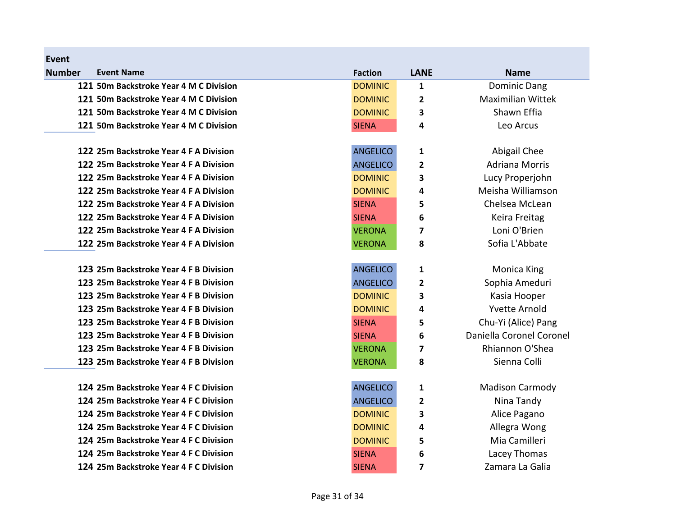| Event         |                                        |                 |                         |                          |
|---------------|----------------------------------------|-----------------|-------------------------|--------------------------|
| <b>Number</b> | <b>Event Name</b>                      | <b>Faction</b>  | <b>LANE</b>             | <b>Name</b>              |
|               | 121 50m Backstroke Year 4 M C Division | <b>DOMINIC</b>  | 1                       | Dominic Dang             |
|               | 121 50m Backstroke Year 4 M C Division | <b>DOMINIC</b>  | $\overline{\mathbf{c}}$ | <b>Maximilian Wittek</b> |
|               | 121 50m Backstroke Year 4 M C Division | <b>DOMINIC</b>  | 3                       | Shawn Effia              |
|               | 121 50m Backstroke Year 4 M C Division | <b>SIENA</b>    | 4                       | Leo Arcus                |
|               | 122 25m Backstroke Year 4 F A Division | <b>ANGELICO</b> | 1                       | Abigail Chee             |
|               | 122 25m Backstroke Year 4 F A Division | <b>ANGELICO</b> | $\overline{\mathbf{2}}$ | <b>Adriana Morris</b>    |
|               | 122 25m Backstroke Year 4 F A Division | <b>DOMINIC</b>  | 3                       | Lucy Properjohn          |
|               | 122 25m Backstroke Year 4 F A Division | <b>DOMINIC</b>  | 4                       | Meisha Williamson        |
|               | 122 25m Backstroke Year 4 F A Division | <b>SIENA</b>    | 5                       | Chelsea McLean           |
|               | 122 25m Backstroke Year 4 F A Division | <b>SIENA</b>    | 6                       | Keira Freitag            |
|               | 122 25m Backstroke Year 4 F A Division | <b>VERONA</b>   | 7                       | Loni O'Brien             |
|               | 122 25m Backstroke Year 4 F A Division | <b>VERONA</b>   | 8                       | Sofia L'Abbate           |
|               | 123 25m Backstroke Year 4 F B Division | <b>ANGELICO</b> | 1                       | <b>Monica King</b>       |
|               | 123 25m Backstroke Year 4 F B Division | <b>ANGELICO</b> | 2                       | Sophia Ameduri           |
|               | 123 25m Backstroke Year 4 F B Division | <b>DOMINIC</b>  | 3                       | Kasia Hooper             |
|               | 123 25m Backstroke Year 4 F B Division | <b>DOMINIC</b>  | 4                       | <b>Yvette Arnold</b>     |
|               | 123 25m Backstroke Year 4 F B Division | <b>SIENA</b>    | 5                       | Chu-Yi (Alice) Pang      |
|               | 123 25m Backstroke Year 4 F B Division | <b>SIENA</b>    | 6                       | Daniella Coronel Coronel |
|               | 123 25m Backstroke Year 4 F B Division | <b>VERONA</b>   | 7                       | Rhiannon O'Shea          |
|               | 123 25m Backstroke Year 4 F B Division | <b>VERONA</b>   | 8                       | Sienna Colli             |
|               | 124 25m Backstroke Year 4 F C Division | <b>ANGELICO</b> | 1                       | <b>Madison Carmody</b>   |
|               | 124 25m Backstroke Year 4 F C Division | <b>ANGELICO</b> | 2                       | Nina Tandy               |
|               | 124 25m Backstroke Year 4 F C Division | <b>DOMINIC</b>  | 3                       | Alice Pagano             |
|               | 124 25m Backstroke Year 4 F C Division | <b>DOMINIC</b>  | 4                       | Allegra Wong             |
|               | 124 25m Backstroke Year 4 F C Division | <b>DOMINIC</b>  | 5                       | Mia Camilleri            |
|               | 124 25m Backstroke Year 4 F C Division | <b>SIENA</b>    | 6                       | Lacey Thomas             |
|               | 124 25m Backstroke Year 4 F C Division | <b>SIENA</b>    | 7                       | Zamara La Galia          |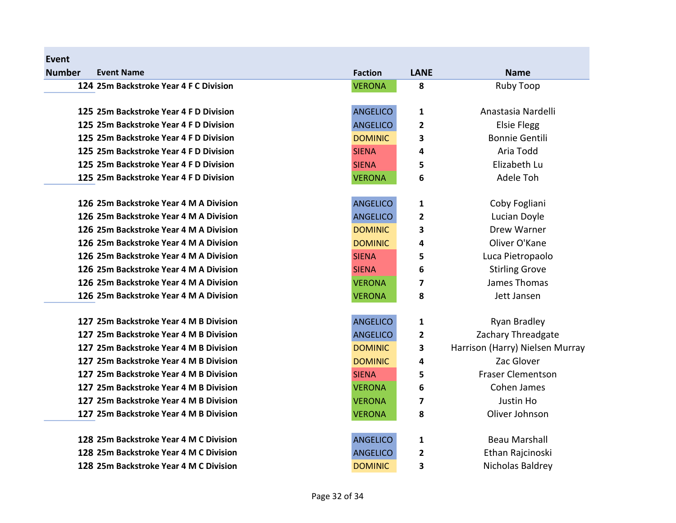| <b>Event</b>  |                                        |                 |                         |                                 |
|---------------|----------------------------------------|-----------------|-------------------------|---------------------------------|
| <b>Number</b> | <b>Event Name</b>                      | <b>Faction</b>  | <b>LANE</b>             | <b>Name</b>                     |
|               | 124 25m Backstroke Year 4 F C Division | <b>VERONA</b>   | 8                       | <b>Ruby Toop</b>                |
|               | 125 25m Backstroke Year 4 F D Division | <b>ANGELICO</b> | $\mathbf{1}$            | Anastasia Nardelli              |
|               | 125 25m Backstroke Year 4 F D Division | <b>ANGELICO</b> | 2                       | <b>Elsie Flegg</b>              |
|               | 125 25m Backstroke Year 4 F D Division | <b>DOMINIC</b>  | 3                       | <b>Bonnie Gentili</b>           |
|               | 125 25m Backstroke Year 4 F D Division | <b>SIENA</b>    | 4                       | Aria Todd                       |
|               | 125 25m Backstroke Year 4 F D Division | <b>SIENA</b>    | 5                       | Elizabeth Lu                    |
|               | 125 25m Backstroke Year 4 F D Division | <b>VERONA</b>   | 6                       | Adele Toh                       |
|               | 126 25m Backstroke Year 4 M A Division | <b>ANGELICO</b> | $\mathbf{1}$            | Coby Fogliani                   |
|               | 126 25m Backstroke Year 4 M A Division | <b>ANGELICO</b> | 2                       | Lucian Doyle                    |
|               | 126 25m Backstroke Year 4 M A Division | <b>DOMINIC</b>  | 3                       | <b>Drew Warner</b>              |
|               | 126 25m Backstroke Year 4 M A Division | <b>DOMINIC</b>  | 4                       | Oliver O'Kane                   |
|               | 126 25m Backstroke Year 4 M A Division | <b>SIENA</b>    | 5                       | Luca Pietropaolo                |
|               | 126 25m Backstroke Year 4 M A Division | <b>SIENA</b>    | 6                       | <b>Stirling Grove</b>           |
|               | 126 25m Backstroke Year 4 M A Division | <b>VERONA</b>   | $\overline{\mathbf{z}}$ | James Thomas                    |
|               | 126 25m Backstroke Year 4 M A Division | <b>VERONA</b>   | 8                       | Jett Jansen                     |
|               | 127 25m Backstroke Year 4 M B Division | <b>ANGELICO</b> | 1                       | Ryan Bradley                    |
|               | 127 25m Backstroke Year 4 M B Division | <b>ANGELICO</b> | 2                       | Zachary Threadgate              |
|               | 127 25m Backstroke Year 4 M B Division | <b>DOMINIC</b>  | 3                       | Harrison (Harry) Nielsen Murray |
|               | 127 25m Backstroke Year 4 M B Division | <b>DOMINIC</b>  | 4                       | Zac Glover                      |
|               | 127 25m Backstroke Year 4 M B Division | <b>SIENA</b>    | 5                       | <b>Fraser Clementson</b>        |
|               | 127 25m Backstroke Year 4 M B Division | <b>VERONA</b>   | 6                       | Cohen James                     |
|               | 127 25m Backstroke Year 4 M B Division | <b>VERONA</b>   | 7                       | Justin Ho                       |
|               | 127 25m Backstroke Year 4 M B Division | <b>VERONA</b>   | 8                       | Oliver Johnson                  |
|               | 128 25m Backstroke Year 4 M C Division | <b>ANGELICO</b> | $\mathbf{1}$            | <b>Beau Marshall</b>            |
|               | 128 25m Backstroke Year 4 M C Division | <b>ANGELICO</b> | $\mathbf{2}$            | Ethan Rajcinoski                |
|               | 128 25m Backstroke Year 4 M C Division | <b>DOMINIC</b>  | 3                       | Nicholas Baldrey                |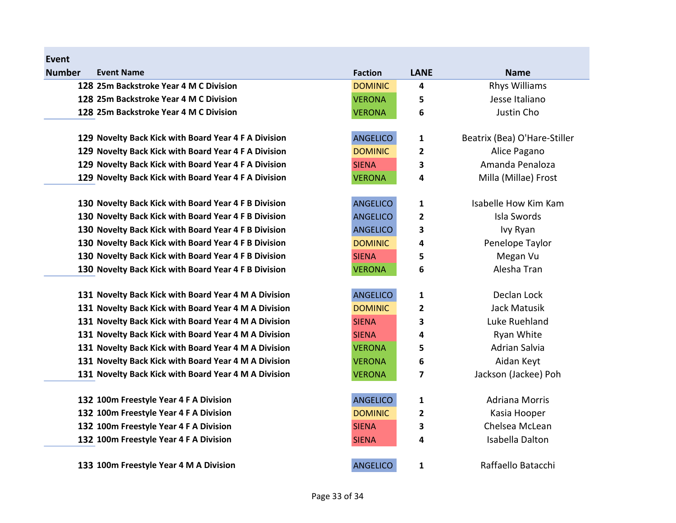| <b>Number</b> | <b>Event Name</b>                                    | <b>Faction</b>  | <b>LANE</b>             | <b>Name</b>                  |
|---------------|------------------------------------------------------|-----------------|-------------------------|------------------------------|
|               | 128 25m Backstroke Year 4 M C Division               | <b>DOMINIC</b>  | 4                       | <b>Rhys Williams</b>         |
|               | 128 25m Backstroke Year 4 M C Division               | <b>VERONA</b>   | 5                       | Jesse Italiano               |
|               | 128 25m Backstroke Year 4 M C Division               | <b>VERONA</b>   | 6                       | Justin Cho                   |
|               | 129 Novelty Back Kick with Board Year 4 F A Division | <b>ANGELICO</b> | $\mathbf{1}$            | Beatrix (Bea) O'Hare-Stiller |
|               | 129 Novelty Back Kick with Board Year 4 F A Division | <b>DOMINIC</b>  | $\mathbf{2}$            | Alice Pagano                 |
|               | 129 Novelty Back Kick with Board Year 4 F A Division | <b>SIENA</b>    | 3                       | Amanda Penaloza              |
|               | 129 Novelty Back Kick with Board Year 4 F A Division | <b>VERONA</b>   | $\overline{\mathbf{4}}$ | Milla (Millae) Frost         |
|               | 130 Novelty Back Kick with Board Year 4 F B Division | <b>ANGELICO</b> | 1                       | Isabelle How Kim Kam         |
|               | 130 Novelty Back Kick with Board Year 4 F B Division | <b>ANGELICO</b> | $\mathbf{2}$            | Isla Swords                  |
|               | 130 Novelty Back Kick with Board Year 4 F B Division | <b>ANGELICO</b> | 3                       | Ivy Ryan                     |
|               | 130 Novelty Back Kick with Board Year 4 F B Division | <b>DOMINIC</b>  | 4                       | Penelope Taylor              |
|               | 130 Novelty Back Kick with Board Year 4 F B Division | <b>SIENA</b>    | 5                       | Megan Vu                     |
|               | 130 Novelty Back Kick with Board Year 4 F B Division | <b>VERONA</b>   | 6                       | Alesha Tran                  |
|               | 131 Novelty Back Kick with Board Year 4 M A Division | <b>ANGELICO</b> | 1                       | Declan Lock                  |
|               | 131 Novelty Back Kick with Board Year 4 M A Division | <b>DOMINIC</b>  | $\overline{2}$          | Jack Matusik                 |
|               | 131 Novelty Back Kick with Board Year 4 M A Division | <b>SIENA</b>    | 3                       | Luke Ruehland                |
|               | 131 Novelty Back Kick with Board Year 4 M A Division | <b>SIENA</b>    | 4                       | Ryan White                   |
|               | 131 Novelty Back Kick with Board Year 4 M A Division | <b>VERONA</b>   | 5                       | <b>Adrian Salvia</b>         |
|               | 131 Novelty Back Kick with Board Year 4 M A Division | <b>VERONA</b>   | 6                       | Aidan Keyt                   |
|               | 131 Novelty Back Kick with Board Year 4 M A Division | <b>VERONA</b>   | $\overline{\mathbf{z}}$ | Jackson (Jackee) Poh         |
|               | 132 100m Freestyle Year 4 F A Division               | <b>ANGELICO</b> | 1                       | <b>Adriana Morris</b>        |
|               | 132 100m Freestyle Year 4 F A Division               | <b>DOMINIC</b>  | $\overline{2}$          | Kasia Hooper                 |
|               | 132 100m Freestyle Year 4 F A Division               | <b>SIENA</b>    | 3                       | Chelsea McLean               |
|               | 132 100m Freestyle Year 4 F A Division               | <b>SIENA</b>    | 4                       | Isabella Dalton              |
|               | 133 100m Freestyle Year 4 M A Division               | <b>ANGELICO</b> | 1                       | Raffaello Batacchi           |